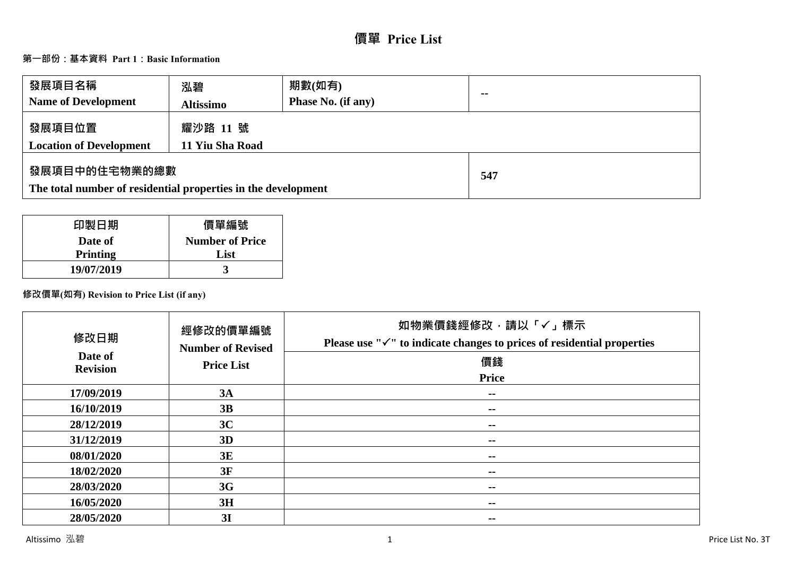# **價單 Price List**

# **第一部份:基本資料 Part 1:Basic Information**

| 發展項目名稱<br><b>Name of Development</b>                                           | 泓碧<br><b>Altissimo</b>      | 期數(如有)<br><b>Phase No. (if any)</b> | $\sim$ |
|--------------------------------------------------------------------------------|-----------------------------|-------------------------------------|--------|
| 發展項目位置<br><b>Location of Development</b>                                       | 耀沙路 11 號<br>11 Yiu Sha Road |                                     |        |
| 發展項目中的住宅物業的總數<br>The total number of residential properties in the development |                             | 547                                 |        |

| 印製日期            | 價單編號                   |
|-----------------|------------------------|
| Date of         | <b>Number of Price</b> |
| <b>Printing</b> | List                   |
| 19/07/2019      |                        |

# **修改價單(如有) Revision to Price List (if any)**

| 修改日期<br>Date of | 經修改的價單編號<br><b>Number of Revised</b> | 如物業價錢經修改,請以「✓」標示<br>Please use " $\checkmark$ " to indicate changes to prices of residential properties |
|-----------------|--------------------------------------|---------------------------------------------------------------------------------------------------------|
| <b>Revision</b> | <b>Price List</b>                    | 價錢                                                                                                      |
|                 |                                      | <b>Price</b>                                                                                            |
| 17/09/2019      | 3A                                   | --                                                                                                      |
| 16/10/2019      | 3B                                   | $\sim$ $\sim$                                                                                           |
| 28/12/2019      | 3C                                   | $- -$                                                                                                   |
| 31/12/2019      | 3D                                   | $\sim$ $\sim$                                                                                           |
| 08/01/2020      | 3E                                   | --                                                                                                      |
| 18/02/2020      | 3F                                   | $\sim$ $\sim$                                                                                           |
| 28/03/2020      | 3G                                   | --                                                                                                      |
| 16/05/2020      | 3H                                   | --                                                                                                      |
| 28/05/2020      | 3I                                   | --                                                                                                      |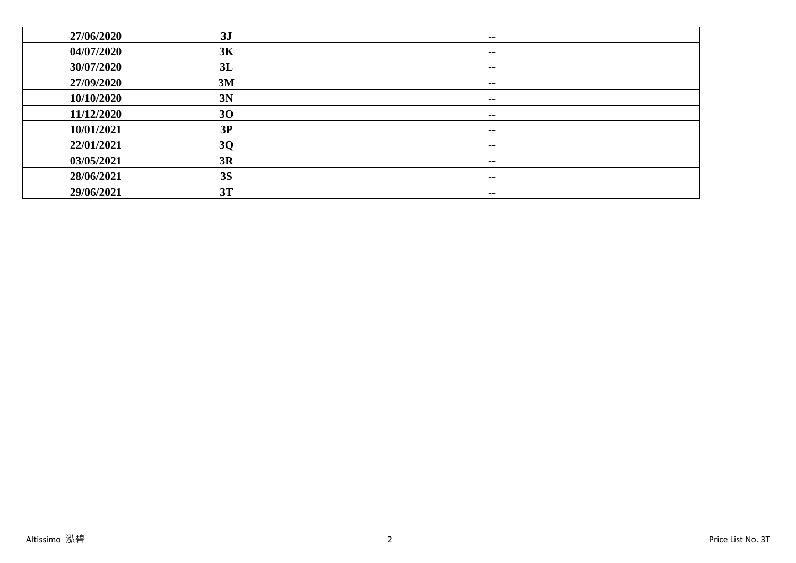| 27/06/2020 | 3J        | --            |
|------------|-----------|---------------|
| 04/07/2020 | 3K        | --            |
| 30/07/2020 | 3L        | --            |
| 27/09/2020 | 3M        | $\sim$ $-$    |
| 10/10/2020 | 3N        | $\sim$ $-$    |
| 11/12/2020 | 30        | $\sim$        |
| 10/01/2021 | 3P        | $\sim$ $\sim$ |
| 22/01/2021 | <b>3Q</b> | --            |
| 03/05/2021 | 3R        | $\sim$ $\sim$ |
| 28/06/2021 | <b>3S</b> | $\sim$ $\sim$ |
| 29/06/2021 | 3T        | $\sim$ $\sim$ |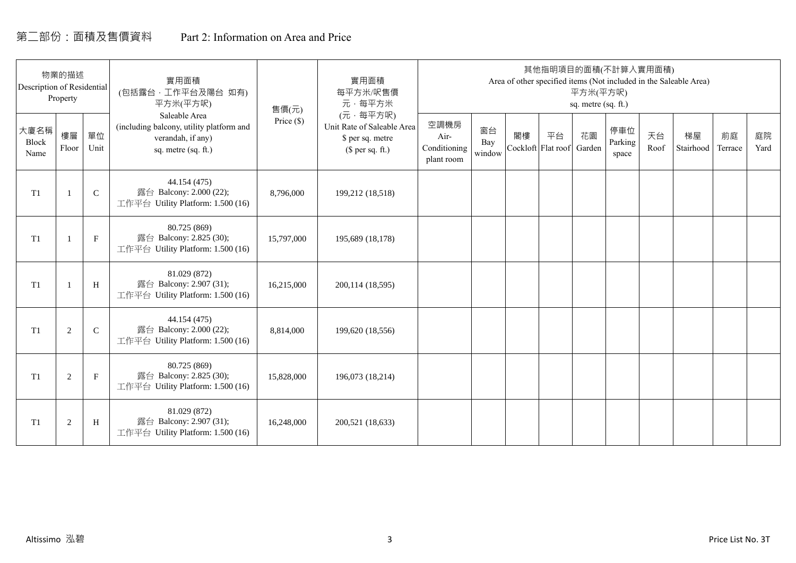# 第二部份:面積及售價資料 Part 2: Information on Area and Price

| Description of Residential | 物業的描述<br>Property |              | 實用面積<br>(包括露台,工作平台及陽台 如有)<br>平方米(平方呎)                                                                 | 售價(元)        | 實用面積<br>每平方米/呎售價<br>元·每平方米                                                     |                                            |                     |    | 其他指明項目的面積(不計算入實用面積)      | 平方米(平方呎)<br>sq. metre (sq. ft.) |                         |            | Area of other specified items (Not included in the Saleable Area) |               |            |
|----------------------------|-------------------|--------------|-------------------------------------------------------------------------------------------------------|--------------|--------------------------------------------------------------------------------|--------------------------------------------|---------------------|----|--------------------------|---------------------------------|-------------------------|------------|-------------------------------------------------------------------|---------------|------------|
| 大廈名稱<br>Block<br>Name      | 樓層<br>Floor       | 單位<br>Unit   | Saleable Area<br>(including balcony, utility platform and<br>verandah, if any)<br>sq. metre (sq. ft.) | Price $(\$)$ | (元·每平方呎)<br>Unit Rate of Saleable Area<br>\$ per sq. metre<br>$$$ per sq. ft.) | 空調機房<br>Air-<br>Conditioning<br>plant room | 窗台<br>Bay<br>window | 閣樓 | 平台<br>Cockloft Flat roof | 花園<br>Garden                    | 停車位<br>Parking<br>space | 天台<br>Roof | 梯屋<br>Stairhood                                                   | 前庭<br>Terrace | 庭院<br>Yard |
| T1                         |                   | $\mathsf{C}$ | 44.154 (475)<br>露台 Balcony: 2.000 (22);<br>工作平台 Utility Platform: 1.500 (16)                          | 8,796,000    | 199,212 (18,518)                                                               |                                            |                     |    |                          |                                 |                         |            |                                                                   |               |            |
| T <sub>1</sub>             |                   | $\mathbf{F}$ | 80.725 (869)<br>露台 Balcony: 2.825 (30);<br>工作平台 Utility Platform: 1.500 (16)                          | 15,797,000   | 195,689 (18,178)                                                               |                                            |                     |    |                          |                                 |                         |            |                                                                   |               |            |
| T <sub>1</sub>             |                   | H            | 81.029 (872)<br>露台 Balcony: 2.907 (31);<br>工作平台 Utility Platform: 1.500 (16)                          | 16,215,000   | 200, 114 (18, 595)                                                             |                                            |                     |    |                          |                                 |                         |            |                                                                   |               |            |
| T <sub>1</sub>             | 2                 | $\mathbf C$  | 44.154 (475)<br>露台 Balcony: 2.000 (22);<br>工作平台 Utility Platform: 1.500 (16)                          | 8,814,000    | 199,620 (18,556)                                                               |                                            |                     |    |                          |                                 |                         |            |                                                                   |               |            |
| T <sub>1</sub>             | 2                 | $\mathbf{F}$ | 80.725 (869)<br>露台 Balcony: 2.825 (30);<br>工作平台 Utility Platform: 1.500 (16)                          | 15,828,000   | 196,073 (18,214)                                                               |                                            |                     |    |                          |                                 |                         |            |                                                                   |               |            |
| T1                         | $\overline{2}$    | H            | 81.029 (872)<br>露台 Balcony: 2.907 (31);<br>工作平台 Utility Platform: 1.500 (16)                          | 16,248,000   | 200,521 (18,633)                                                               |                                            |                     |    |                          |                                 |                         |            |                                                                   |               |            |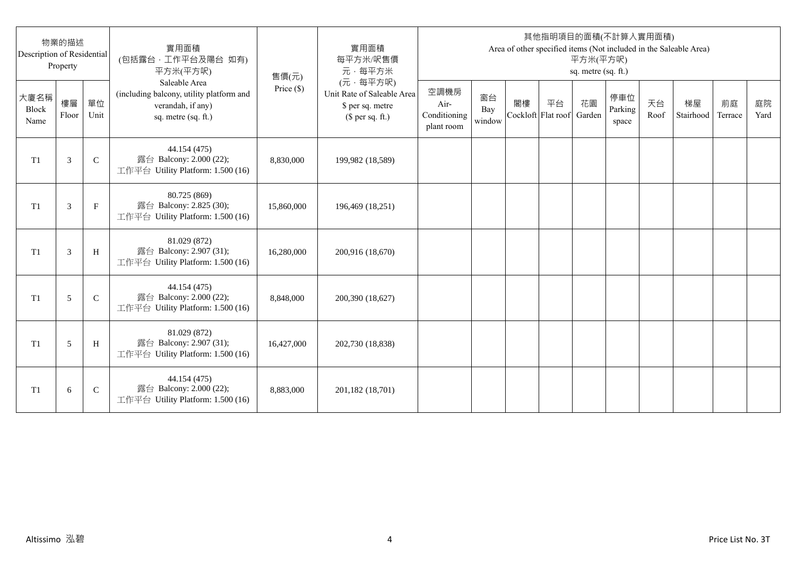| Description of Residential | 物業的描述<br>Property |              | 實用面積<br>(包括露台,工作平台及陽台 如有)<br>平方米(平方呎)                                                                 | 售價(元)      | 實用面積<br>每平方米/呎售價<br>元·每平方米                                                     |                                            |                     |                          |    | 平方米(平方呎)<br>sq. metre (sq. ft.) | 其他指明項目的面積(不計算入實用面積)     |            | Area of other specified items (Not included in the Saleable Area) |               |            |
|----------------------------|-------------------|--------------|-------------------------------------------------------------------------------------------------------|------------|--------------------------------------------------------------------------------|--------------------------------------------|---------------------|--------------------------|----|---------------------------------|-------------------------|------------|-------------------------------------------------------------------|---------------|------------|
| 大廈名稱<br>Block<br>Name      | 樓層<br>Floor       | 單位<br>Unit   | Saleable Area<br>(including balcony, utility platform and<br>verandah, if any)<br>sq. metre (sq. ft.) | Price (\$) | (元·每平方呎)<br>Unit Rate of Saleable Area<br>\$ per sq. metre<br>$$$ per sq. ft.) | 空調機房<br>Air-<br>Conditioning<br>plant room | 窗台<br>Bay<br>window | 閣樓<br>Cockloft Flat roof | 平台 | 花園<br>Garden                    | 停車位<br>Parking<br>space | 天台<br>Roof | 梯屋<br>Stairhood                                                   | 前庭<br>Terrace | 庭院<br>Yard |
| T <sub>1</sub>             | 3                 | $\mathsf{C}$ | 44.154 (475)<br>露台 Balcony: 2.000 (22);<br>工作平台 Utility Platform: 1.500 (16)                          | 8,830,000  | 199,982 (18,589)                                                               |                                            |                     |                          |    |                                 |                         |            |                                                                   |               |            |
| T <sub>1</sub>             | 3                 | $_{\rm F}$   | 80.725 (869)<br>露台 Balcony: 2.825 (30);<br>工作平台 Utility Platform: 1.500 (16)                          | 15,860,000 | 196,469 (18,251)                                                               |                                            |                     |                          |    |                                 |                         |            |                                                                   |               |            |
| T1                         | 3                 | H            | 81.029 (872)<br>露台 Balcony: 2.907 (31);<br>工作平台 Utility Platform: 1.500 (16)                          | 16,280,000 | 200,916 (18,670)                                                               |                                            |                     |                          |    |                                 |                         |            |                                                                   |               |            |
| T1                         | 5                 | $\mathsf{C}$ | 44.154 (475)<br>露台 Balcony: 2.000 (22);<br>工作平台 Utility Platform: 1.500 (16)                          | 8,848,000  | 200,390 (18,627)                                                               |                                            |                     |                          |    |                                 |                         |            |                                                                   |               |            |
| T1                         | 5                 | H            | 81.029 (872)<br>露台 Balcony: 2.907 (31);<br>工作平台 Utility Platform: 1.500 (16)                          | 16,427,000 | 202,730 (18,838)                                                               |                                            |                     |                          |    |                                 |                         |            |                                                                   |               |            |
| T <sub>1</sub>             | 6                 | $\mathsf{C}$ | 44.154 (475)<br>露台 Balcony: 2.000 (22);<br>工作平台 Utility Platform: 1.500 (16)                          | 8,883,000  | 201,182 (18,701)                                                               |                                            |                     |                          |    |                                 |                         |            |                                                                   |               |            |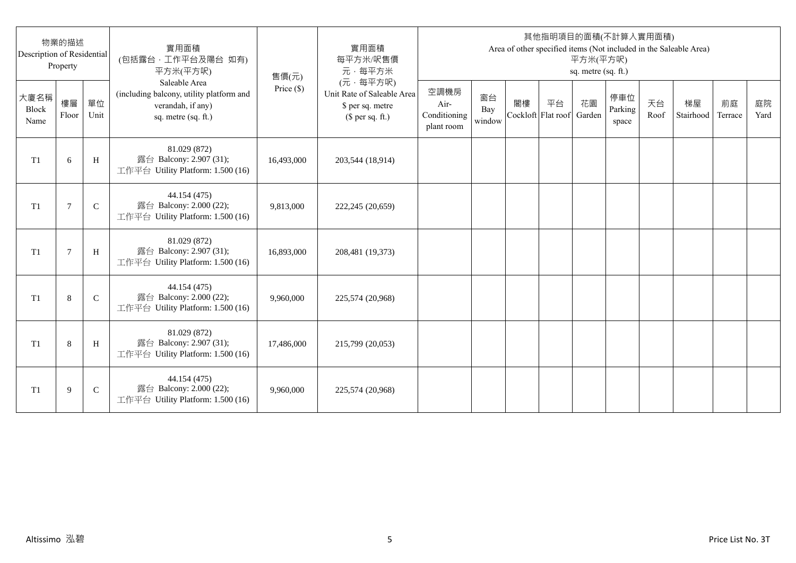| Description of Residential | 物業的描述<br>Property |              | 實用面積<br>(包括露台,工作平台及陽台 如有)<br>平方米(平方呎)                                                                 | 售價(元)      | 實用面積<br>每平方米/呎售價<br>元·每平方米                                                     |                                            |                     |                          |    | 平方米(平方呎)<br>sq. metre (sq. ft.) | 其他指明項目的面積(不計算入實用面積)     |            | Area of other specified items (Not included in the Saleable Area) |               |            |
|----------------------------|-------------------|--------------|-------------------------------------------------------------------------------------------------------|------------|--------------------------------------------------------------------------------|--------------------------------------------|---------------------|--------------------------|----|---------------------------------|-------------------------|------------|-------------------------------------------------------------------|---------------|------------|
| 大廈名稱<br>Block<br>Name      | 樓層<br>Floor       | 單位<br>Unit   | Saleable Area<br>(including balcony, utility platform and<br>verandah, if any)<br>sq. metre (sq. ft.) | Price (\$) | (元·每平方呎)<br>Unit Rate of Saleable Area<br>\$ per sq. metre<br>$$$ per sq. ft.) | 空調機房<br>Air-<br>Conditioning<br>plant room | 窗台<br>Bay<br>window | 閣樓<br>Cockloft Flat roof | 平台 | 花園<br>Garden                    | 停車位<br>Parking<br>space | 天台<br>Roof | 梯屋<br>Stairhood                                                   | 前庭<br>Terrace | 庭院<br>Yard |
| T <sub>1</sub>             | 6                 | H            | 81.029 (872)<br>露台 Balcony: 2.907 (31);<br>工作平台 Utility Platform: 1.500 (16)                          | 16,493,000 | 203,544 (18,914)                                                               |                                            |                     |                          |    |                                 |                         |            |                                                                   |               |            |
| T <sub>1</sub>             | 7                 | $\mathsf{C}$ | 44.154 (475)<br>露台 Balcony: 2.000 (22);<br>工作平台 Utility Platform: 1.500 (16)                          | 9,813,000  | 222,245 (20,659)                                                               |                                            |                     |                          |    |                                 |                         |            |                                                                   |               |            |
| T1                         | $\overline{7}$    | H            | 81.029 (872)<br>露台 Balcony: 2.907 (31);<br>工作平台 Utility Platform: 1.500 (16)                          | 16,893,000 | 208,481 (19,373)                                                               |                                            |                     |                          |    |                                 |                         |            |                                                                   |               |            |
| T1                         | 8                 | $\mathsf{C}$ | 44.154 (475)<br>露台 Balcony: 2.000 (22);<br>工作平台 Utility Platform: 1.500 (16)                          | 9,960,000  | 225,574 (20,968)                                                               |                                            |                     |                          |    |                                 |                         |            |                                                                   |               |            |
| T1                         | 8                 | H            | 81.029 (872)<br>露台 Balcony: 2.907 (31);<br>工作平台 Utility Platform: 1.500 (16)                          | 17,486,000 | 215,799 (20,053)                                                               |                                            |                     |                          |    |                                 |                         |            |                                                                   |               |            |
| T <sub>1</sub>             | 9                 | $\mathsf{C}$ | 44.154 (475)<br>露台 Balcony: 2.000 (22);<br>工作平台 Utility Platform: 1.500 (16)                          | 9,960,000  | 225,574 (20,968)                                                               |                                            |                     |                          |    |                                 |                         |            |                                                                   |               |            |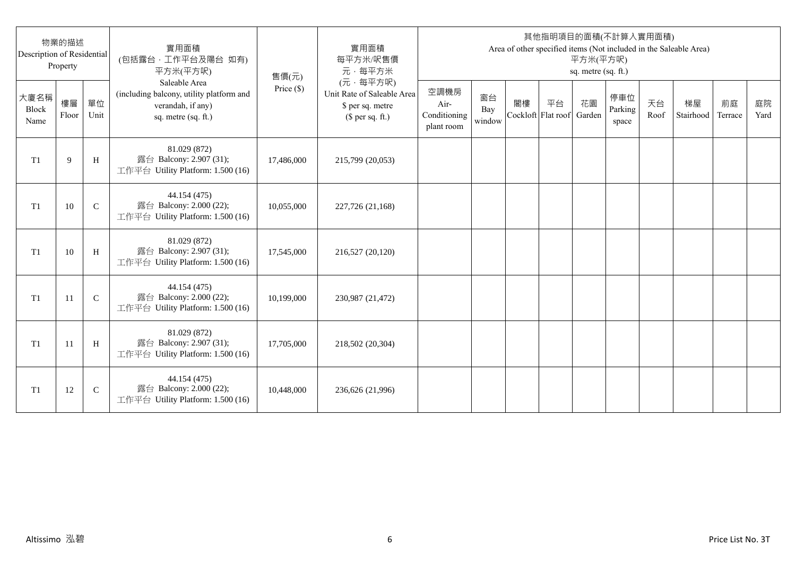| Description of Residential | 物業的描述<br>Property |              | 實用面積<br>(包括露台,工作平台及陽台 如有)<br>平方米(平方呎)                                                                 | 售價(元)      | 實用面積<br>每平方米/呎售價<br>元·每平方米                                                     |                                            |                     |                          |    | 平方米(平方呎)<br>sq. metre (sq. ft.) | 其他指明項目的面積(不計算入實用面積)     |            | Area of other specified items (Not included in the Saleable Area) |               |            |
|----------------------------|-------------------|--------------|-------------------------------------------------------------------------------------------------------|------------|--------------------------------------------------------------------------------|--------------------------------------------|---------------------|--------------------------|----|---------------------------------|-------------------------|------------|-------------------------------------------------------------------|---------------|------------|
| 大廈名稱<br>Block<br>Name      | 樓層<br>Floor       | 單位<br>Unit   | Saleable Area<br>(including balcony, utility platform and<br>verandah, if any)<br>sq. metre (sq. ft.) | Price (\$) | (元·每平方呎)<br>Unit Rate of Saleable Area<br>\$ per sq. metre<br>$$$ per sq. ft.) | 空調機房<br>Air-<br>Conditioning<br>plant room | 窗台<br>Bay<br>window | 閣樓<br>Cockloft Flat roof | 平台 | 花園<br>Garden                    | 停車位<br>Parking<br>space | 天台<br>Roof | 梯屋<br>Stairhood                                                   | 前庭<br>Terrace | 庭院<br>Yard |
| T <sub>1</sub>             | 9                 | H            | 81.029 (872)<br>露台 Balcony: 2.907 (31);<br>工作平台 Utility Platform: 1.500 (16)                          | 17,486,000 | 215,799 (20,053)                                                               |                                            |                     |                          |    |                                 |                         |            |                                                                   |               |            |
| T <sub>1</sub>             | 10                | $\mathsf{C}$ | 44.154 (475)<br>露台 Balcony: 2.000 (22);<br>工作平台 Utility Platform: 1.500 (16)                          | 10,055,000 | 227,726 (21,168)                                                               |                                            |                     |                          |    |                                 |                         |            |                                                                   |               |            |
| T1                         | 10                | H            | 81.029 (872)<br>露台 Balcony: 2.907 (31);<br>工作平台 Utility Platform: 1.500 (16)                          | 17,545,000 | 216,527 (20,120)                                                               |                                            |                     |                          |    |                                 |                         |            |                                                                   |               |            |
| T1                         | 11                | $\mathbf C$  | 44.154 (475)<br>露台 Balcony: 2.000 (22);<br>工作平台 Utility Platform: 1.500 (16)                          | 10,199,000 | 230,987 (21,472)                                                               |                                            |                     |                          |    |                                 |                         |            |                                                                   |               |            |
| T1                         | -11               | H            | 81.029 (872)<br>露台 Balcony: 2.907 (31);<br>工作平台 Utility Platform: 1.500 (16)                          | 17,705,000 | 218,502 (20,304)                                                               |                                            |                     |                          |    |                                 |                         |            |                                                                   |               |            |
| T <sub>1</sub>             | 12                | $\mathsf{C}$ | 44.154 (475)<br>露台 Balcony: 2.000 (22);<br>工作平台 Utility Platform: 1.500 (16)                          | 10,448,000 | 236,626 (21,996)                                                               |                                            |                     |                          |    |                                 |                         |            |                                                                   |               |            |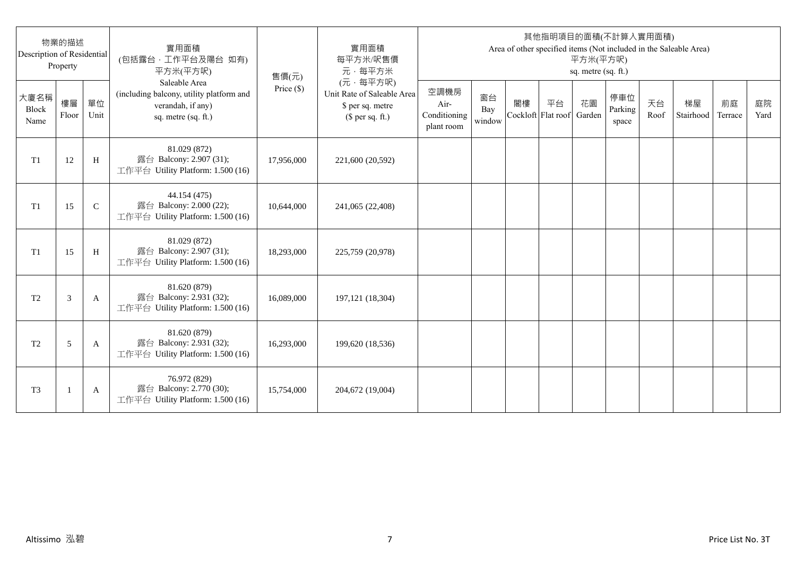| Description of Residential | 物業的描述<br>Property |              | 實用面積<br>(包括露台,工作平台及陽台 如有)<br>平方米(平方呎)                                                                 | 售價(元)      | 實用面積<br>每平方米/呎售價<br>元·每平方米                                                     |                                            |                     |                          |    | 平方米(平方呎)<br>sq. metre (sq. ft.) | 其他指明項目的面積(不計算入實用面積)     |            | Area of other specified items (Not included in the Saleable Area) |               |            |
|----------------------------|-------------------|--------------|-------------------------------------------------------------------------------------------------------|------------|--------------------------------------------------------------------------------|--------------------------------------------|---------------------|--------------------------|----|---------------------------------|-------------------------|------------|-------------------------------------------------------------------|---------------|------------|
| 大廈名稱<br>Block<br>Name      | 樓層<br>Floor       | 單位<br>Unit   | Saleable Area<br>(including balcony, utility platform and<br>verandah, if any)<br>sq. metre (sq. ft.) | Price (\$) | (元·每平方呎)<br>Unit Rate of Saleable Area<br>\$ per sq. metre<br>$$$ per sq. ft.) | 空調機房<br>Air-<br>Conditioning<br>plant room | 窗台<br>Bay<br>window | 閣樓<br>Cockloft Flat roof | 平台 | 花園<br>Garden                    | 停車位<br>Parking<br>space | 天台<br>Roof | 梯屋<br>Stairhood                                                   | 前庭<br>Terrace | 庭院<br>Yard |
| T1                         | 12                | H            | 81.029 (872)<br>露台 Balcony: 2.907 (31);<br>工作平台 Utility Platform: 1.500 (16)                          | 17,956,000 | 221,600 (20,592)                                                               |                                            |                     |                          |    |                                 |                         |            |                                                                   |               |            |
| T1                         | 15                | $\mathsf{C}$ | 44.154 (475)<br>露台 Balcony: 2.000 (22);<br>工作平台 Utility Platform: 1.500 (16)                          | 10,644,000 | 241,065 (22,408)                                                               |                                            |                     |                          |    |                                 |                         |            |                                                                   |               |            |
| T1                         | 15                | H            | 81.029 (872)<br>露台 Balcony: 2.907 (31);<br>工作平台 Utility Platform: 1.500 (16)                          | 18,293,000 | 225,759 (20,978)                                                               |                                            |                     |                          |    |                                 |                         |            |                                                                   |               |            |
| T <sub>2</sub>             | 3                 | A            | 81.620 (879)<br>露台 Balcony: 2.931 (32);<br>工作平台 Utility Platform: 1.500 (16)                          | 16,089,000 | 197, 121 (18, 304)                                                             |                                            |                     |                          |    |                                 |                         |            |                                                                   |               |            |
| T <sub>2</sub>             | 5                 | A            | 81.620 (879)<br>露台 Balcony: 2.931 (32);<br>工作平台 Utility Platform: 1.500 (16)                          | 16,293,000 | 199,620 (18,536)                                                               |                                            |                     |                          |    |                                 |                         |            |                                                                   |               |            |
| T <sub>3</sub>             |                   | A            | 76.972 (829)<br>露台 Balcony: 2.770 (30);<br>工作平台 Utility Platform: 1.500 (16)                          | 15,754,000 | 204,672 (19,004)                                                               |                                            |                     |                          |    |                                 |                         |            |                                                                   |               |            |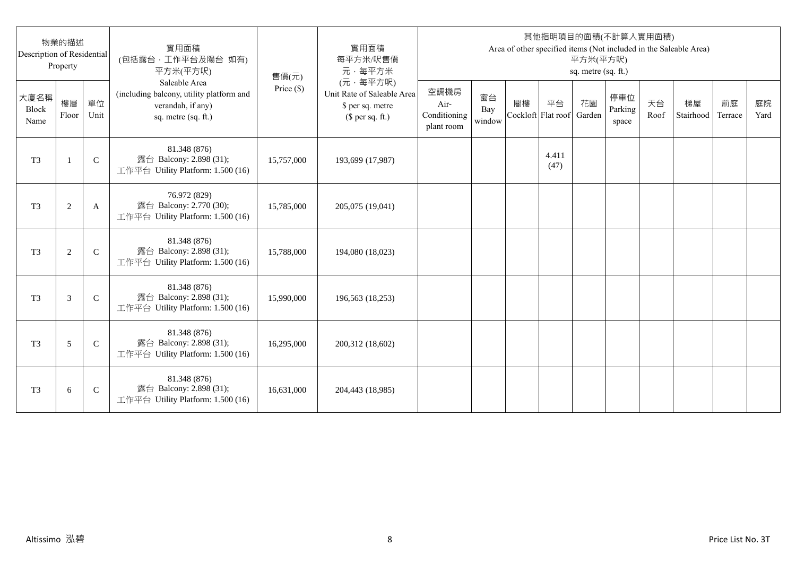| Description of Residential | 物業的描述<br>Property |              | 實用面積<br>(包括露台,工作平台及陽台 如有)<br>平方米(平方呎)                                                                 | 售價(元)      | 實用面積<br>每平方米/呎售價<br>元·每平方米                                                     |                                            |                     |                          |               | 平方米(平方呎)<br>sq. metre (sq. ft.) | 其他指明項目的面積(不計算入實用面積)     |            | Area of other specified items (Not included in the Saleable Area) |               |            |
|----------------------------|-------------------|--------------|-------------------------------------------------------------------------------------------------------|------------|--------------------------------------------------------------------------------|--------------------------------------------|---------------------|--------------------------|---------------|---------------------------------|-------------------------|------------|-------------------------------------------------------------------|---------------|------------|
| 大廈名稱<br>Block<br>Name      | 樓層<br>Floor       | 單位<br>Unit   | Saleable Area<br>(including balcony, utility platform and<br>verandah, if any)<br>sq. metre (sq. ft.) | Price (\$) | (元·每平方呎)<br>Unit Rate of Saleable Area<br>\$ per sq. metre<br>$$$ per sq. ft.) | 空調機房<br>Air-<br>Conditioning<br>plant room | 窗台<br>Bay<br>window | 閣樓<br>Cockloft Flat roof | 平台            | 花園<br>Garden                    | 停車位<br>Parking<br>space | 天台<br>Roof | 梯屋<br>Stairhood                                                   | 前庭<br>Terrace | 庭院<br>Yard |
| T <sub>3</sub>             | $\mathbf{1}$      | $\mathsf{C}$ | 81.348 (876)<br>露台 Balcony: 2.898 (31);<br>工作平台 Utility Platform: 1.500 (16)                          | 15,757,000 | 193,699 (17,987)                                                               |                                            |                     |                          | 4.411<br>(47) |                                 |                         |            |                                                                   |               |            |
| T <sub>3</sub>             | $\overline{c}$    | A            | 76.972 (829)<br>露台 Balcony: 2.770 (30);<br>工作平台 Utility Platform: 1.500 (16)                          | 15,785,000 | 205,075 (19,041)                                                               |                                            |                     |                          |               |                                 |                         |            |                                                                   |               |            |
| T <sub>3</sub>             | $\overline{c}$    | $\mathsf{C}$ | 81.348 (876)<br>露台 Balcony: 2.898 (31);<br>工作平台 Utility Platform: 1.500 (16)                          | 15,788,000 | 194,080 (18,023)                                                               |                                            |                     |                          |               |                                 |                         |            |                                                                   |               |            |
| T <sub>3</sub>             | 3                 | $\mathsf{C}$ | 81.348 (876)<br>露台 Balcony: 2.898 (31);<br>工作平台 Utility Platform: 1.500 (16)                          | 15,990,000 | 196,563 (18,253)                                                               |                                            |                     |                          |               |                                 |                         |            |                                                                   |               |            |
| T <sub>3</sub>             | 5                 | $\mathsf{C}$ | 81.348 (876)<br>露台 Balcony: 2.898 (31);<br>工作平台 Utility Platform: 1.500 (16)                          | 16,295,000 | 200,312 (18,602)                                                               |                                            |                     |                          |               |                                 |                         |            |                                                                   |               |            |
| T <sub>3</sub>             | 6                 | $\mathsf{C}$ | 81.348 (876)<br>露台 Balcony: 2.898 (31);<br>工作平台 Utility Platform: 1.500 (16)                          | 16,631,000 | 204,443 (18,985)                                                               |                                            |                     |                          |               |                                 |                         |            |                                                                   |               |            |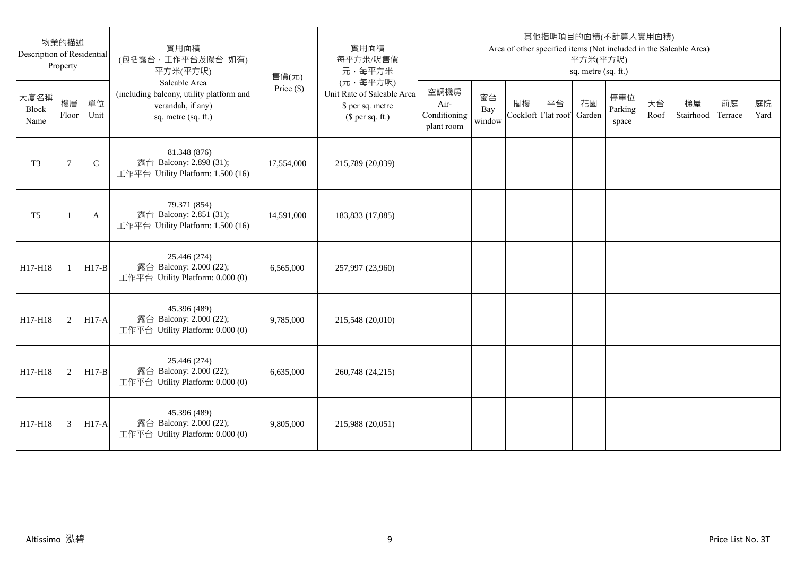| Description of Residential | 物業的描述<br>Property |              | 實用面積<br>(包括露台,工作平台及陽台 如有)<br>平方米(平方呎)                                                                 | 售價(元)      | 實用面積<br>每平方米/呎售價<br>元·每平方米                                                     |                                            |                     |                          |    | 平方米(平方呎)<br>sq. metre (sq. ft.) | 其他指明項目的面積(不計算入實用面積)     |            | Area of other specified items (Not included in the Saleable Area) |               |            |
|----------------------------|-------------------|--------------|-------------------------------------------------------------------------------------------------------|------------|--------------------------------------------------------------------------------|--------------------------------------------|---------------------|--------------------------|----|---------------------------------|-------------------------|------------|-------------------------------------------------------------------|---------------|------------|
| 大廈名稱<br>Block<br>Name      | 樓層<br>Floor       | 單位<br>Unit   | Saleable Area<br>(including balcony, utility platform and<br>verandah, if any)<br>sq. metre (sq. ft.) | Price (\$) | (元·每平方呎)<br>Unit Rate of Saleable Area<br>\$ per sq. metre<br>$$$ per sq. ft.) | 空調機房<br>Air-<br>Conditioning<br>plant room | 窗台<br>Bay<br>window | 閣樓<br>Cockloft Flat roof | 平台 | 花園<br>Garden                    | 停車位<br>Parking<br>space | 天台<br>Roof | 梯屋<br>Stairhood                                                   | 前庭<br>Terrace | 庭院<br>Yard |
| T <sub>3</sub>             | $\tau$            | $\mathsf{C}$ | 81.348 (876)<br>露台 Balcony: 2.898 (31);<br>工作平台 Utility Platform: 1.500 (16)                          | 17,554,000 | 215,789 (20,039)                                                               |                                            |                     |                          |    |                                 |                         |            |                                                                   |               |            |
| T <sub>5</sub>             |                   | A            | 79.371 (854)<br>露台 Balcony: 2.851 (31);<br>工作平台 Utility Platform: 1.500 (16)                          | 14,591,000 | 183,833 (17,085)                                                               |                                            |                     |                          |    |                                 |                         |            |                                                                   |               |            |
| H17-H18                    | $\mathbf{1}$      | $H17-B$      | 25.446 (274)<br>露台 Balcony: 2.000 (22);<br>工作平台 Utility Platform: 0.000 (0)                           | 6,565,000  | 257,997 (23,960)                                                               |                                            |                     |                          |    |                                 |                         |            |                                                                   |               |            |
| H17-H18                    | 2                 | $H17-A$      | 45.396 (489)<br>露台 Balcony: 2.000 (22);<br>工作平台 Utility Platform: 0.000 (0)                           | 9,785,000  | 215,548 (20,010)                                                               |                                            |                     |                          |    |                                 |                         |            |                                                                   |               |            |
| H17-H18                    | 2                 | $H17-B$      | 25.446 (274)<br>露台 Balcony: 2.000 (22);<br>工作平台 Utility Platform: 0.000 (0)                           | 6,635,000  | 260,748 (24,215)                                                               |                                            |                     |                          |    |                                 |                         |            |                                                                   |               |            |
| H17-H18                    | 3                 | <b>H17-A</b> | 45.396 (489)<br>露台 Balcony: 2.000 (22);<br>工作平台 Utility Platform: 0.000 (0)                           | 9,805,000  | 215,988 (20,051)                                                               |                                            |                     |                          |    |                                 |                         |            |                                                                   |               |            |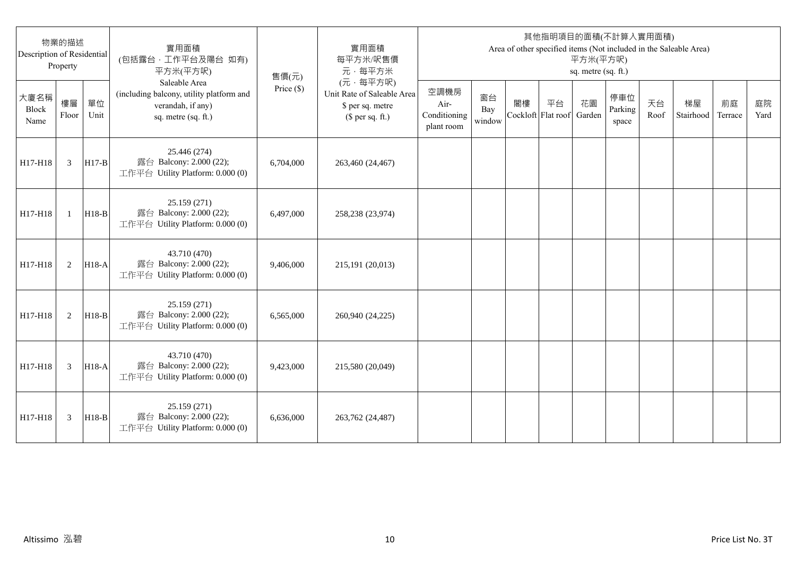| Description of Residential | 物業的描述<br>Property |            | 實用面積<br>(包括露台,工作平台及陽台 如有)<br>平方米(平方呎)                                                                 | 售價(元)        | 實用面積<br>每平方米/呎售價<br>元·每平方米                                                     |                                            |                     |                          |    | 平方米(平方呎)<br>sq. metre (sq. ft.) | 其他指明項目的面積(不計算入實用面積)     |            | Area of other specified items (Not included in the Saleable Area) |               |            |
|----------------------------|-------------------|------------|-------------------------------------------------------------------------------------------------------|--------------|--------------------------------------------------------------------------------|--------------------------------------------|---------------------|--------------------------|----|---------------------------------|-------------------------|------------|-------------------------------------------------------------------|---------------|------------|
| 大廈名稱<br>Block<br>Name      | 樓層<br>Floor       | 單位<br>Unit | Saleable Area<br>(including balcony, utility platform and<br>verandah, if any)<br>sq. metre (sq. ft.) | Price $(\$)$ | (元·每平方呎)<br>Unit Rate of Saleable Area<br>\$ per sq. metre<br>$$$ per sq. ft.) | 空調機房<br>Air-<br>Conditioning<br>plant room | 窗台<br>Bay<br>window | 閣樓<br>Cockloft Flat roof | 平台 | 花園<br>Garden                    | 停車位<br>Parking<br>space | 天台<br>Roof | 梯屋<br>Stairhood                                                   | 前庭<br>Terrace | 庭院<br>Yard |
| H17-H18                    | 3                 | $H17-B$    | 25.446 (274)<br>露台 Balcony: 2.000 (22);<br>工作平台 Utility Platform: 0.000 (0)                           | 6,704,000    | 263,460 (24,467)                                                               |                                            |                     |                          |    |                                 |                         |            |                                                                   |               |            |
| H17-H18                    | $\overline{1}$    | $H18-B$    | 25.159 (271)<br>露台 Balcony: 2.000 (22);<br>工作平台 Utility Platform: 0.000 (0)                           | 6.497,000    | 258,238 (23,974)                                                               |                                            |                     |                          |    |                                 |                         |            |                                                                   |               |            |
| H17-H18                    | 2                 | $H18-A$    | 43.710 (470)<br>露台 Balcony: 2.000 (22);<br>工作平台 Utility Platform: 0.000 (0)                           | 9,406,000    | 215,191 (20,013)                                                               |                                            |                     |                          |    |                                 |                         |            |                                                                   |               |            |
| H17-H18                    | 2                 | $H18-B$    | 25.159 (271)<br>露台 Balcony: 2.000 (22);<br>工作平台 Utility Platform: 0.000 (0)                           | 6,565,000    | 260,940 (24,225)                                                               |                                            |                     |                          |    |                                 |                         |            |                                                                   |               |            |
| H17-H18                    | 3                 | $H18-A$    | 43.710 (470)<br>露台 Balcony: 2.000 (22);<br>工作平台 Utility Platform: 0.000 (0)                           | 9,423,000    | 215,580 (20,049)                                                               |                                            |                     |                          |    |                                 |                         |            |                                                                   |               |            |
| H17-H18                    | 3                 | $H18-B$    | 25.159 (271)<br>露台 Balcony: 2.000 (22);<br>工作平台 Utility Platform: 0.000 (0)                           | 6,636,000    | 263,762 (24,487)                                                               |                                            |                     |                          |    |                                 |                         |            |                                                                   |               |            |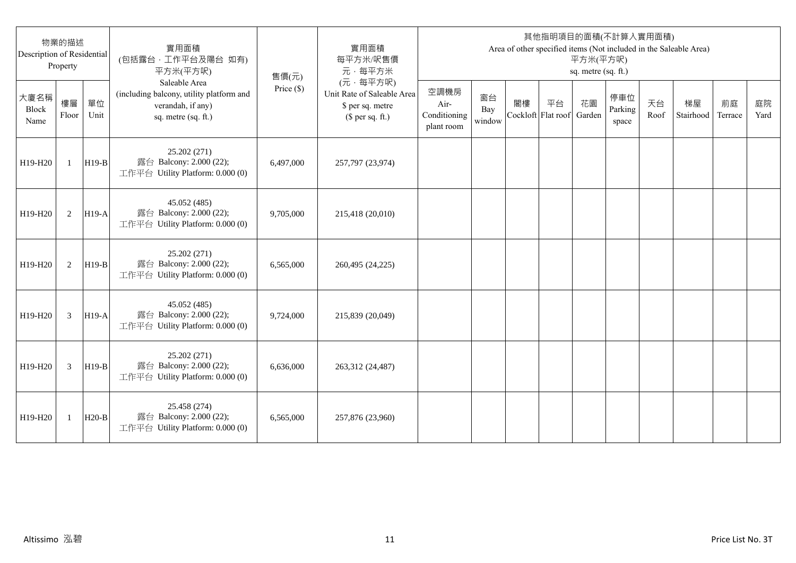| 物業的描述<br>Description of Residential<br>Property |              |            | 實用面積<br>(包括露台,工作平台及陽台 如有)<br>平方米(平方呎)                                                                 | 售價(元)        | 實用面積<br>每平方米/呎售價<br>元·每平方米                                                     | 其他指明項目的面積(不計算入實用面積)<br>Area of other specified items (Not included in the Saleable Area)<br>平方米(平方呎)<br>sq. metre (sq. ft.) |                     |                          |    |              |                         |            |                 |               |            |  |
|-------------------------------------------------|--------------|------------|-------------------------------------------------------------------------------------------------------|--------------|--------------------------------------------------------------------------------|-----------------------------------------------------------------------------------------------------------------------------|---------------------|--------------------------|----|--------------|-------------------------|------------|-----------------|---------------|------------|--|
| 大廈名稱<br>Block<br>Name                           | 樓層<br>Floor  | 單位<br>Unit | Saleable Area<br>(including balcony, utility platform and<br>verandah, if any)<br>sq. metre (sq. ft.) | Price $(\$)$ | (元·每平方呎)<br>Unit Rate of Saleable Area<br>\$ per sq. metre<br>$$$ per sq. ft.) | 空調機房<br>Air-<br>Conditioning<br>plant room                                                                                  | 窗台<br>Bay<br>window | 閣樓<br>Cockloft Flat roof | 平台 | 花園<br>Garden | 停車位<br>Parking<br>space | 天台<br>Roof | 梯屋<br>Stairhood | 前庭<br>Terrace | 庭院<br>Yard |  |
| H19-H20                                         | $\mathbf{1}$ | $H19-B$    | 25.202 (271)<br>露台 Balcony: 2.000 (22);<br>工作平台 Utility Platform: 0.000 (0)                           | 6,497,000    | 257,797 (23,974)                                                               |                                                                                                                             |                     |                          |    |              |                         |            |                 |               |            |  |
| H19-H20                                         | 2            | $H19-A$    | 45.052 (485)<br>露台 Balcony: 2.000 (22);<br>工作平台 Utility Platform: 0.000 (0)                           | 9,705,000    | 215,418 (20,010)                                                               |                                                                                                                             |                     |                          |    |              |                         |            |                 |               |            |  |
| H19-H20                                         | 2            | $H19-B$    | 25.202 (271)<br>露台 Balcony: 2.000 (22);<br>工作平台 Utility Platform: 0.000 (0)                           | 6.565.000    | 260,495 (24,225)                                                               |                                                                                                                             |                     |                          |    |              |                         |            |                 |               |            |  |
| H19-H20                                         | 3            | $H19-A$    | 45.052 (485)<br>露台 Balcony: 2.000 (22);<br>工作平台 Utility Platform: 0.000 (0)                           | 9,724,000    | 215,839 (20,049)                                                               |                                                                                                                             |                     |                          |    |              |                         |            |                 |               |            |  |
| H19-H20                                         | 3            | $H19-B$    | 25.202 (271)<br>露台 Balcony: 2.000 (22);<br>工作平台 Utility Platform: 0.000 (0)                           | 6,636,000    | 263,312 (24,487)                                                               |                                                                                                                             |                     |                          |    |              |                         |            |                 |               |            |  |
| H19-H20                                         | 1            | $H20-B$    | 25.458 (274)<br>露台 Balcony: 2.000 (22);<br>工作平台 Utility Platform: 0.000 (0)                           | 6,565,000    | 257,876 (23,960)                                                               |                                                                                                                             |                     |                          |    |              |                         |            |                 |               |            |  |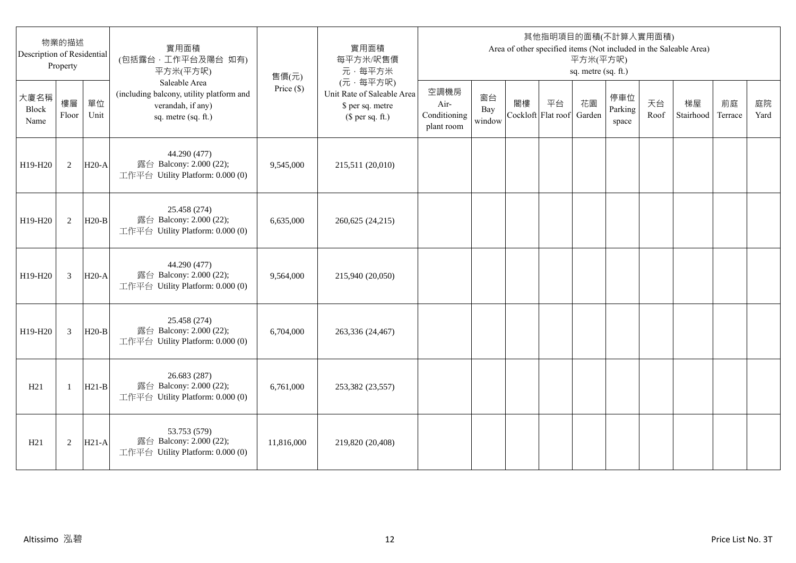| 物業的描述<br>Description of Residential<br>Property |                |            | 實用面積<br>(包括露台,工作平台及陽台 如有)<br>平方米(平方呎)                                                                 | 售價(元)        | 實用面積<br>每平方米/呎售價<br>元·每平方米                                                     | 其他指明項目的面積(不計算入實用面積)<br>Area of other specified items (Not included in the Saleable Area)<br>平方米(平方呎)<br>sq. metre (sq. ft.) |                     |                          |    |              |                         |            |                 |               |            |  |
|-------------------------------------------------|----------------|------------|-------------------------------------------------------------------------------------------------------|--------------|--------------------------------------------------------------------------------|-----------------------------------------------------------------------------------------------------------------------------|---------------------|--------------------------|----|--------------|-------------------------|------------|-----------------|---------------|------------|--|
| 大廈名稱<br>Block<br>Name                           | 樓層<br>Floor    | 單位<br>Unit | Saleable Area<br>(including balcony, utility platform and<br>verandah, if any)<br>sq. metre (sq. ft.) | Price $(\$)$ | (元·每平方呎)<br>Unit Rate of Saleable Area<br>\$ per sq. metre<br>$$$ per sq. ft.) | 空調機房<br>Air-<br>Conditioning<br>plant room                                                                                  | 窗台<br>Bay<br>window | 閣樓<br>Cockloft Flat roof | 平台 | 花園<br>Garden | 停車位<br>Parking<br>space | 天台<br>Roof | 梯屋<br>Stairhood | 前庭<br>Terrace | 庭院<br>Yard |  |
| H19-H20                                         | 2              | $H20-A$    | 44.290 (477)<br>露台 Balcony: 2.000 (22);<br>工作平台 Utility Platform: 0.000 (0)                           | 9,545,000    | 215,511 (20,010)                                                               |                                                                                                                             |                     |                          |    |              |                         |            |                 |               |            |  |
| H19-H20                                         | 2              | $H20-B$    | 25.458 (274)<br>露台 Balcony: 2.000 (22);<br>工作平台 Utility Platform: 0.000 (0)                           | 6,635,000    | 260,625 (24,215)                                                               |                                                                                                                             |                     |                          |    |              |                         |            |                 |               |            |  |
| H19-H20                                         | 3              | $H20-A$    | 44.290 (477)<br>露台 Balcony: 2.000 (22);<br>工作平台 Utility Platform: 0.000 (0)                           | 9,564,000    | 215,940 (20,050)                                                               |                                                                                                                             |                     |                          |    |              |                         |            |                 |               |            |  |
| H19-H20                                         | $\overline{3}$ | $H20-B$    | 25.458 (274)<br>露台 Balcony: 2.000 (22);<br>工作平台 Utility Platform: 0.000 (0)                           | 6,704,000    | 263,336 (24,467)                                                               |                                                                                                                             |                     |                          |    |              |                         |            |                 |               |            |  |
| H21                                             | -1             | $H21-B$    | 26.683 (287)<br>露台 Balcony: 2.000 (22);<br>工作平台 Utility Platform: 0.000 (0)                           | 6,761,000    | 253,382 (23,557)                                                               |                                                                                                                             |                     |                          |    |              |                         |            |                 |               |            |  |
| H21                                             | $\overline{2}$ | $H21-A$    | 53.753 (579)<br>露台 Balcony: 2.000 (22);<br>工作平台 Utility Platform: 0.000 (0)                           | 11,816,000   | 219,820 (20,408)                                                               |                                                                                                                             |                     |                          |    |              |                         |            |                 |               |            |  |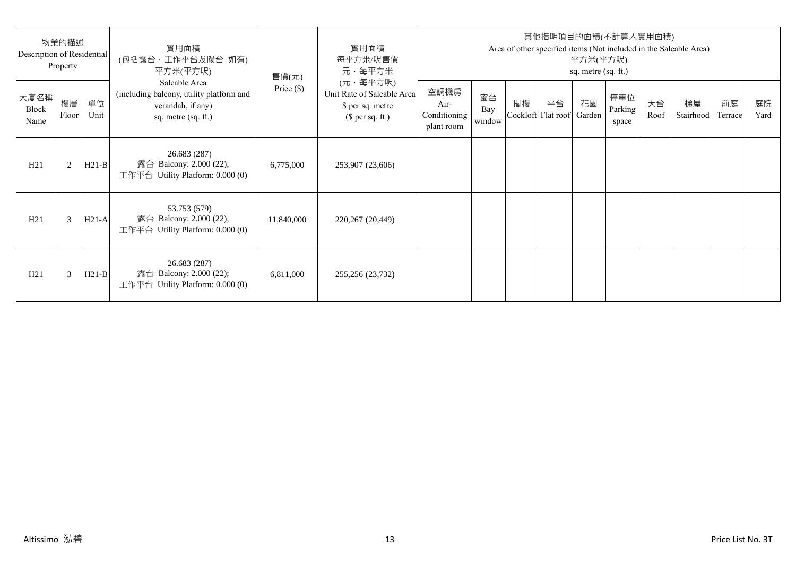| 物業的描述<br>Description of Residential<br>Property |             |            | 實用面積<br>(包括露台·工作平台及陽台 如有)<br>平方米(平方呎)                                                                 | 售價(元)        | 實用面積<br>每平方米/呎售價<br>元·每平方米                                                     | 其他指明項目的面積(不計算入實用面積)<br>Area of other specified items (Not included in the Saleable Area)<br>平方米(平方呎)<br>sq. metre (sq. ft.) |                     |    |                                 |    |                         |            |                 |               |            |
|-------------------------------------------------|-------------|------------|-------------------------------------------------------------------------------------------------------|--------------|--------------------------------------------------------------------------------|-----------------------------------------------------------------------------------------------------------------------------|---------------------|----|---------------------------------|----|-------------------------|------------|-----------------|---------------|------------|
| 大廈名稱<br>Block<br>Name                           | 樓層<br>Floor | 單位<br>Unit | Saleable Area<br>(including balcony, utility platform and<br>verandah, if any)<br>sq. metre (sq. ft.) | Price $(\$)$ | (元·每平方呎)<br>Unit Rate of Saleable Area<br>\$ per sq. metre<br>$$$ per sq. ft.) | 空調機房<br>Air-<br>Conditioning<br>plant room                                                                                  | 窗台<br>Bay<br>window | 閣樓 | 平台<br>Cockloft Flat roof Garden | 花園 | 停車位<br>Parking<br>space | 天台<br>Roof | 梯屋<br>Stairhood | 前庭<br>Terrace | 庭院<br>Yard |
| H21                                             | 2           | $H21-B$    | 26.683 (287)<br>露台 Balcony: 2.000 (22);<br>工作平台 Utility Platform: $0.000(0)$                          | 6,775,000    | 253,907 (23,606)                                                               |                                                                                                                             |                     |    |                                 |    |                         |            |                 |               |            |
| H21                                             | 3           | $H21-A$    | 53.753 (579)<br>露台 Balcony: 2.000 (22);<br>工作平台 Utility Platform: 0.000 (0)                           | 11,840,000   | 220,267 (20,449)                                                               |                                                                                                                             |                     |    |                                 |    |                         |            |                 |               |            |
| H21                                             | 3           | $H21-B$    | 26.683 (287)<br>露台 Balcony: 2.000 (22);<br>工作平台 Utility Platform: $0.000(0)$                          | 6,811,000    | 255,256 (23,732)                                                               |                                                                                                                             |                     |    |                                 |    |                         |            |                 |               |            |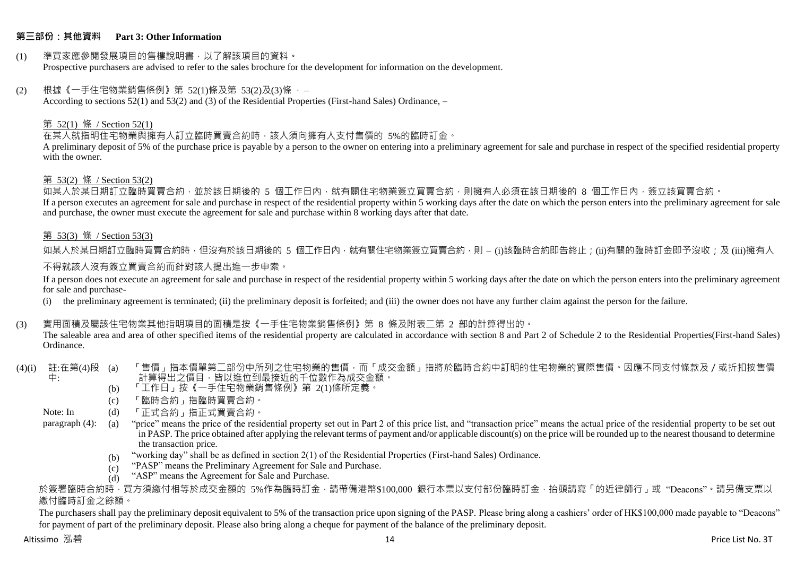## **第三部份:其他資料 Part 3: Other Information**

#### (1) 準買家應參閱發展項目的售樓說明書,以了解該項目的資料。 Prospective purchasers are advised to refer to the sales brochure for the development for information on the development.

#### $(2)$  根據《一手住宅物業銷售條例》第 52(1)條及第 53(2)及(3)條,

According to sections 52(1) and 53(2) and (3) of the Residential Properties (First-hand Sales) Ordinance, –

#### 第 52(1) 條 / Section 52(1)

在某人就指明住宅物業與擁有人訂立臨時買賣合約時,該人須向擁有人支付售價的 5%的臨時訂金。

A preliminary deposit of 5% of the purchase price is payable by a person to the owner on entering into a preliminary agreement for sale and purchase in respect of the specified residential property with the owner.

#### 第 53(2) 條 / Section 53(2)

—————————————<br>如某人於某日期訂立臨時買賣合約,並於該日期後的 5 個工作日內,就有關住宅物業簽立買賣合約,則擁有人必須在該日期後的 8 個工作日內,簽立該買賣合約。 If a person executes an agreement for sale and purchase in respect of the residential property within 5 working days after the date on which the person enters into the preliminary agreement for sale and purchase, the owner must execute the agreement for sale and purchase within 8 working days after that date.

## 第 53(3) 條 / Section 53(3)

如某人於某日期訂立臨時買賣合約時,但沒有於該日期後的 5 個工作日內,就有關住宅物業簽立買賣合約,則 – (i)該臨時合約即告終止;(ji)有關的臨時訂金即予沒收;及 (iii)擁有人

## 不得就該人沒有簽立買賣合約而針對該人提出進一步申索。

If a person does not execute an agreement for sale and purchase in respect of the residential property within 5 working days after the date on which the person enters into the preliminary agreement for sale and purchase-

(i) the preliminary agreement is terminated; (ii) the preliminary deposit is forfeited; and (iii) the owner does not have any further claim against the person for the failure.

## (3) 實用面積及屬該住宅物業其他指明項目的面積是按《一手住宅物業銷售條例》第 8 條及附表二第 2 部的計算得出的。

The saleable area and area of other specified items of the residential property are calculated in accordance with section 8 and Part 2 of Schedule 2 to the Residential Properties(First-hand Sales) Ordinance.

#### (4)(i) 註:在第(4)段 中: 「售價」指本價單第二部份中所列之住宅物業的售價,而「成交金額」指將於臨時合約中訂明的住宅物業的實際售價。因應不同支付條款及/或折扣按售價 計算得出之價目,皆以進位到最接近的千位數作為成交金額。

- (b) 「工作日」按《一手住宅物業銷售條例》第 2(1)條所定義。
- (c) 「臨時合約」指臨時買賣合約。
- Note: In (d) 「正式合約」指正式買賣合約。

paragraph (4): (a) "price" means the price of the residential property set out in Part 2 of this price list, and "transaction price" means the actual price of the residential property to be set out in PASP. The price obtained after applying the relevant terms of payment and/or applicable discount(s) on the price will be rounded up to the nearest thousand to determine the transaction price.

- (b) "working day" shall be as defined in section 2(1) of the Residential Properties (First-hand Sales) Ordinance.
- $(c)$ "PASP" means the Preliminary Agreement for Sale and Purchase.
- $(d)$ "ASP" means the Agreement for Sale and Purchase.

於簽署臨時合約時,買方須繳付相等於成交金額的 5%作為臨時訂金,請帶備港幣\$100,000 銀行本票以支付部份臨時訂金,抬頭請寫「的近律師行」或"Deacons"。請另備支票以 繳付臨時訂金之餘額。

The purchasers shall pay the preliminary deposit equivalent to 5% of the transaction price upon signing of the PASP. Please bring along a cashiers' order of HK\$100,000 made payable to "Deacons" for payment of part of the preliminary deposit. Please also bring along a cheque for payment of the balance of the preliminary deposit.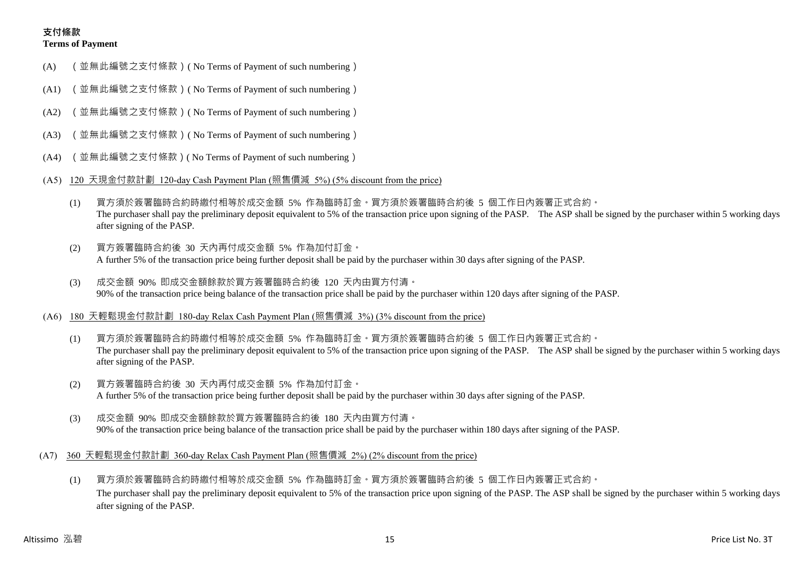# **支付條款 Terms of Payment**

- (A) (並無此編號之支付條款)( No Terms of Payment of such numbering)
- (A1) (並無此編號之支付條款)( No Terms of Payment of such numbering)
- (A2) (並無此編號之支付條款)( No Terms of Payment of such numbering)
- (A3) (並無此編號之支付條款)( No Terms of Payment of such numbering)
- (A4) (並無此編號之支付條款)( No Terms of Payment of such numbering)
- (A5) 120 天現金付款計劃 120-day Cash Payment Plan (照售價減 5%) (5% discount from the price)
	- (1) 買方須於簽署臨時合約時繳付相等於成交金額 5% 作為臨時訂金。買方須於簽署臨時合約後 5 個工作日內簽署正式合約。 The purchaser shall pay the preliminary deposit equivalent to 5% of the transaction price upon signing of the PASP. The ASP shall be signed by the purchaser within 5 working days after signing of the PASP.
	- (2) 買方簽署臨時合約後 30 天內再付成交金額 5% 作為加付訂金。 A further 5% of the transaction price being further deposit shall be paid by the purchaser within 30 days after signing of the PASP.
	- (3) 成交金額 90% 即成交金額餘款於買方簽署臨時合約後 120 天內由買方付清。 90% of the transaction price being balance of the transaction price shall be paid by the purchaser within 120 days after signing of the PASP.
- (A6) 180 天輕鬆現金付款計劃 180-day Relax Cash Payment Plan (照售價減 3%) (3% discount from the price)
	- (1) 買方須於簽署臨時合約時繳付相等於成交金額 5% 作為臨時訂金。買方須於簽署臨時合約後 5 個工作日內簽署正式合約。 The purchaser shall pay the preliminary deposit equivalent to 5% of the transaction price upon signing of the PASP. The ASP shall be signed by the purchaser within 5 working days after signing of the PASP.
	- (2) 買方簽署臨時合約後 30 天內再付成交金額 5% 作為加付訂金。 A further 5% of the transaction price being further deposit shall be paid by the purchaser within 30 days after signing of the PASP.
	- (3) 成交金額 90% 即成交金額餘款於買方簽署臨時合約後 180 天內由買方付清。 90% of the transaction price being balance of the transaction price shall be paid by the purchaser within 180 days after signing of the PASP.
- (A7) 360 天輕鬆現金付款計劃 360-day Relax Cash Payment Plan (照售價減 2%) (2% discount from the price)
	- (1) 買方須於簽署臨時合約時繳付相等於成交金額 5% 作為臨時訂金。買方須於簽署臨時合約後 5 個工作日內簽署正式合約。 The purchaser shall pay the preliminary deposit equivalent to 5% of the transaction price upon signing of the PASP. The ASP shall be signed by the purchaser within 5 working days after signing of the PASP.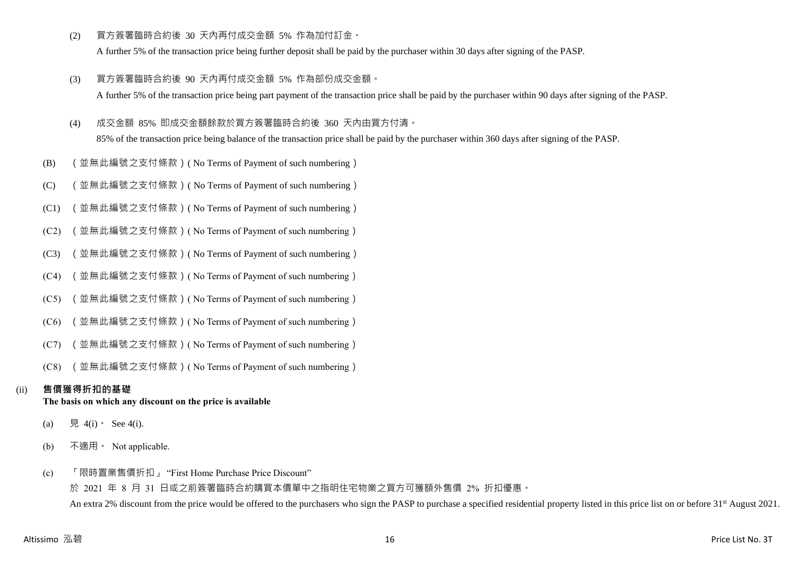(2) 買方簽署臨時合約後 30 天內再付成交金額 5% 作為加付訂金。

A further 5% of the transaction price being further deposit shall be paid by the purchaser within 30 days after signing of the PASP.

- (3) 買方簽署臨時合約後 90 天內再付成交金額 5% 作為部份成交金額。 A further 5% of the transaction price being part payment of the transaction price shall be paid by the purchaser within 90 days after signing of the PASP.
- (4) 成交金額 85% 即成交金額餘款於買方簽署臨時合約後 360 天內由買方付清。

85% of the transaction price being balance of the transaction price shall be paid by the purchaser within 360 days after signing of the PASP.

- (B) (並無此編號之支付條款)( No Terms of Payment of such numbering)
- (C) (並無此編號之支付條款)( No Terms of Payment of such numbering)
- (C1) (並無此編號之支付條款)( No Terms of Payment of such numbering)
- (C2) (並無此編號之支付條款)( No Terms of Payment of such numbering)
- (C3) (並無此編號之支付條款)( No Terms of Payment of such numbering)
- (C4) (並無此編號之支付條款)( No Terms of Payment of such numbering)
- (C5) (並無此編號之支付條款)( No Terms of Payment of such numbering)
- (C6) (並無此編號之支付條款)( No Terms of Payment of such numbering)
- (C7) (並無此編號之支付條款)( No Terms of Payment of such numbering)
- (C8) (並無此編號之支付條款)( No Terms of Payment of such numbering)

# (ii) **售價獲得折扣的基礎**

# **The basis on which any discount on the price is available**

- (a) 見 4(i) See 4(i).
- (b) 不適用。 Not applicable.
- (c) 「限時置業售價折扣」 "First Home Purchase Price Discount"

於 2021 年 8 月 31 日或之前簽署臨時合約購買本價單中之指明住宅物業之買方可獲額外售價 2% 折扣優惠。 An extra 2% discount from the price would be offered to the purchasers who sign the PASP to purchase a specified residential property listed in this price list on or before 31<sup>st</sup> August 2021.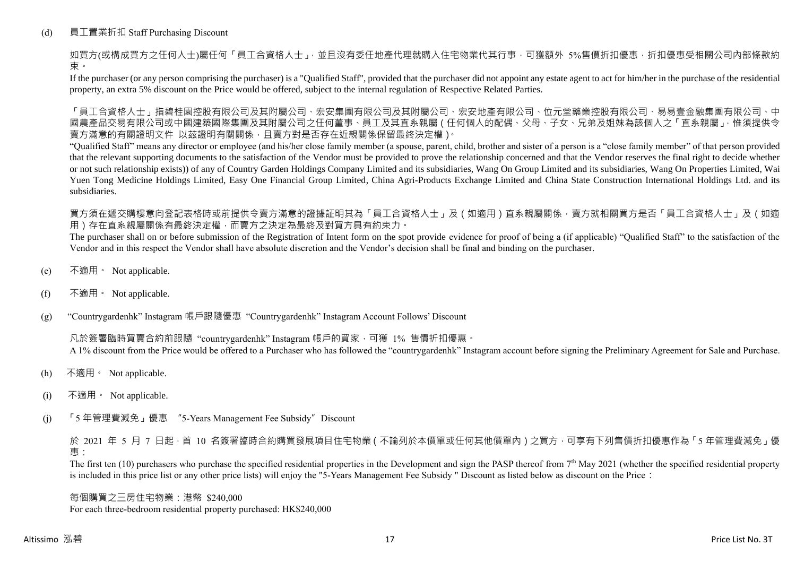# (d) 員工置業折扣 Staff Purchasing Discount

如買方(或構成買方之任何人士)屬任何「員工合資格人士」,並且沒有委任地產代理就購入住宅物業代其行事,可獲額外 5%售價折扣優惠,折扣優惠受相關公司內部條款約 束。

If the purchaser (or any person comprising the purchaser) is a "Qualified Staff", provided that the purchaser did not appoint any estate agent to act for him/her in the purchase of the residential property, an extra 5% discount on the Price would be offered, subject to the internal regulation of Respective Related Parties.

「員工合資格人士」指碧桂園控股有限公司及其附屬公司、宏安集團有限公司及其附屬公司、宏安地產有限公司、位元堂藥業控股有限公司、易易壹金融集團有限公司、中 國農產品交易有限公司或中國建築國際集團及其附屬公司之任何董事、員工及其直系親屬(任何個人的配偶、父母、子女、兄弟及姐妹為該個人之「直系親屬」,惟須提供令 賣方滿意的有關證明文件 以茲證明有關關係,且賣方對是否存在近親關係保留最終決定權)。

"Qualified Staff" means any director or employee (and his/her close family member (a spouse, parent, child, brother and sister of a person is a "close family member" of that person provided that the relevant supporting documents to the satisfaction of the Vendor must be provided to prove the relationship concerned and that the Vendor reserves the final right to decide whether or not such relationship exists)) of any of Country Garden Holdings Company Limited and its subsidiaries, Wang On Group Limited and its subsidiaries, Wang On Properties Limited, Wai Yuen Tong Medicine Holdings Limited, Easy One Financial Group Limited, China Agri-Products Exchange Limited and China State Construction International Holdings Ltd. and its subsidiaries.

買方須在遞交購樓意向登記表格時或前提供令賣方滿意的證據証明其為「員工合資格人士」及(如適用)直系親屬關係,賣方就相關買方是否「員工合資格人士」及(如適 用)存在直系親屬關係有最終決定權,而賣方之決定為最終及對買方具有約束力。

The purchaser shall on or before submission of the Registration of Intent form on the spot provide evidence for proof of being a (if applicable) "Qualified Staff" to the satisfaction of the Vendor and in this respect the Vendor shall have absolute discretion and the Vendor's decision shall be final and binding on the purchaser.

- (e) 不適用。 Not applicable.
- (f) 不適用。 Not applicable.

(g) "Countrygardenhk" Instagram 帳戶跟隨優惠 "Countrygardenhk" Instagram Account Follows' Discount

凡於簽署臨時買賣合約前跟隨 "countrygardenhk" Instagram 帳戶的買家,可獲 1% 售價折扣優惠。 A 1% discount from the Price would be offered to a Purchaser who has followed the "countrygardenhk" Instagram account before signing the Preliminary Agreement for Sale and Purchase.

- (h) 不適用。 Not applicable.
- (i) 不適用。 Not applicable.
- (j) 「5 年管理費減免」優惠 "5-Years Management Fee Subsidy"Discount

於 2021 年 5 月 7 日起,首 10 名簽署臨時合約購買發展項目住宅物業 ( 不論列於本價單或任何其他價單內 ) 之買方, 可享有下列售價折扣優惠作為 「5 年管理費減免」優 惠:

The first ten  $(10)$  purchasers who purchase the specified residential properties in the Development and sign the PASP thereof from  $7<sup>th</sup>$  May 2021 (whether the specified residential property is included in this price list or any other price lists) will enjoy the "5-Years Management Fee Subsidy " Discount as listed below as discount on the Price:

每個購買之三房住宅物業:港幣 \$240,000 For each three-bedroom residential property purchased: HK\$240,000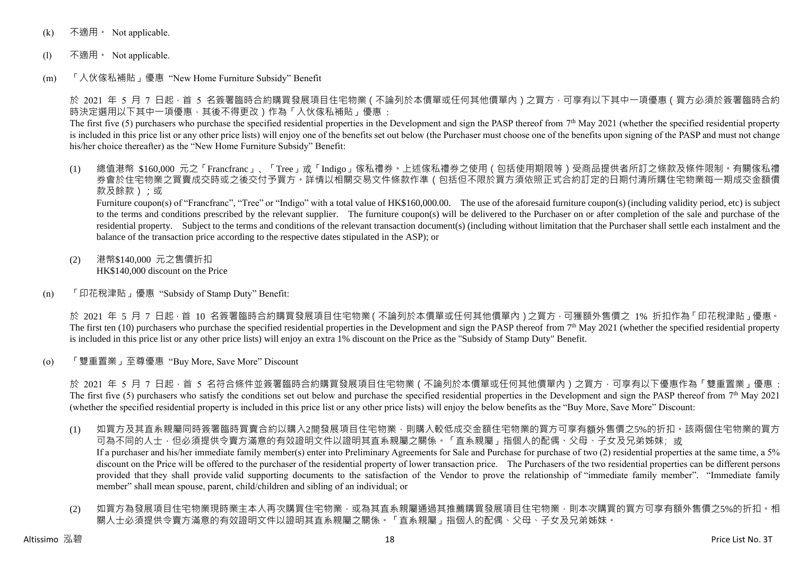- (k) 不適用 · Not applicable.
- (l) 不適用。 Not applicable.
- (m) 「入伙傢私補貼」優惠 "New Home Furniture Subsidy" Benefit

於 2021 年 5 月 7 日起 · 首 5 名簽署臨時合約購買發展項目住宅物業 ( 不論列於本價單或任何其他價單內 ) 之買方 · 可享有以下其中一項優惠 ( 買方必須於簽署臨時合約 時決定選用以下其中一項優惠,其後不得更改)作為「入伙傢私補貼」優惠:

The first five (5) purchasers who purchase the specified residential properties in the Development and sign the PASP thereof from  $7<sup>th</sup>$  May 2021 (whether the specified residential property is included in this price list or any other price lists) will enjoy one of the benefits set out below (the Purchaser must choose one of the benefits upon signing of the PASP and must not change his/her choice thereafter) as the "New Home Furniture Subsidy" Benefit:

(1) 總值港幣 \$160,000 元之「Francfranc」、「Tree」或「Indigo」傢私禮券。上述傢私禮券之使用(包括使用期限等)受商品提供者所訂之條款及條件限制。有關傢私禮 券會於住宅物業之買賣成交時或之後交付予買方。詳情以相關交易文件條款作準(包括但不限於買方須依照正式合約訂定的日期付清所購住宅物業每一期成交金額價 款及餘款);或

Furniture coupon(s) of "Francfranc", "Tree" or "Indigo" with a total value of HK\$160,000.00. The use of the aforesaid furniture coupon(s) (including validity period, etc) is subject to the terms and conditions prescribed by the relevant supplier. The furniture coupon(s) will be delivered to the Purchaser on or after completion of the sale and purchase of the residential property. Subject to the terms and conditions of the relevant transaction document(s) (including without limitation that the Purchaser shall settle each instalment and the balance of the transaction price according to the respective dates stipulated in the ASP); or

- (2) 港幣\$140,000 元之售價折扣 HK\$140,000 discount on the Price
- (n) 「印花稅津貼」優惠 "Subsidy of Stamp Duty" Benefit:

於 2021 年 5 月 7 日起,首 10 名簽署臨時合約購買發展項目住宅物業(不論列於本價單或任何其他價單內)之買方,可獲額外售價之 1% 折扣作為「印花稅津貼」優惠。 The first ten (10) purchasers who purchase the specified residential properties in the Development and sign the PASP thereof from  $7<sup>th</sup>$  May 2021 (whether the specified residential property is included in this price list or any other price lists) will enjoy an extra 1% discount on the Price as the "Subsidy of Stamp Duty" Benefit.

(o) 「雙重置業」至尊優惠 "Buy More, Save More" Discount

於 2021 年 5 月 7 日起,首 5 名符合條件並簽署臨時合約購買發展項目住宅物業 ( 不論列於本價單或任何其他價單內 ) 之買方,可享有以下優惠作為「雙重置業」優惠 : The first five (5) purchasers who satisfy the conditions set out below and purchase the specified residential properties in the Development and sign the PASP thereof from  $7<sup>th</sup>$  May 2021 (whether the specified residential property is included in this price list or any other price lists) will enjoy the below benefits as the "Buy More, Save More" Discount:

- (1) 如買方及其直系親屬同時簽署臨時買賣合約以購入2間發展項目住宅物業,則購入較低成交金額住宅物業的買方可享有額外售價之5%的折扣。該兩個住宅物業的買方 可為不同的人士,但必須提供令賣方滿意的有效證明文件以證明其直系親屬之關係。「直系親屬」指個人的配偶、父母、子女及兄弟姊妹;或 If a purchaser and his/her immediate family member(s) enter into Preliminary Agreements for Sale and Purchase for purchase of two (2) residential properties at the same time, a 5% discount on the Price will be offered to the purchaser of the residential property of lower transaction price. The Purchasers of the two residential properties can be different persons provided that they shall provide valid supporting documents to the satisfaction of the Vendor to prove the relationship of "immediate family member". "Immediate family member" shall mean spouse, parent, child/children and sibling of an individual; or
- (2) 如買方為發展項目住宅物業現時業主本人再次購買住宅物業,或為其直系親屬通過其推薦購買發展項目住宅物業,則本次購買的買方可享有額外售價之5%的折扣。相 關人士必須提供令賣方滿意的有效證明文件以證明其直系親屬之關係。「直系親屬」指個人的配偶、父母、子女及兄弟姊妹。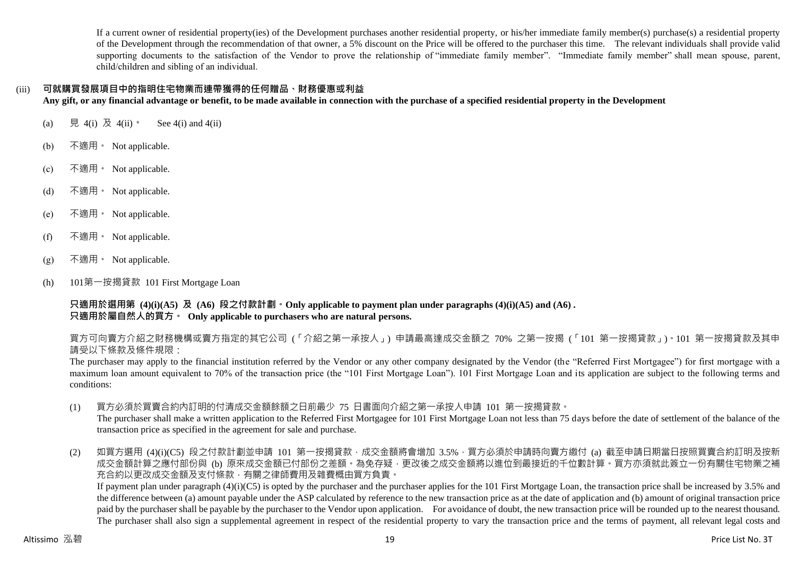If a current owner of residential property(ies) of the Development purchases another residential property, or his/her immediate family member(s) purchase(s) a residential property of the Development through the recommendation of that owner, a 5% discount on the Price will be offered to the purchaser this time. The relevant individuals shall provide valid supporting documents to the satisfaction of the Vendor to prove the relationship of "immediate family member". "Immediate family member" shall mean spouse, parent, child/children and sibling of an individual.

# (iii) **可就購買發展項目中的指明住宅物業而連帶獲得的任何贈品、財務優惠或利益**

**Any gift, or any financial advantage or benefit, to be made available in connection with the purchase of a specified residential property in the Development**

- (a) 見 4(i) 及 4(ii)。 See 4(i) and 4(ii)
- (b) 不適用。 Not applicable.
- (c) 不適用。 Not applicable.
- (d) 不適用。 Not applicable.
- (e) 不適用。 Not applicable.
- (f) 不適用。 Not applicable.
- (g) 不適用。 Not applicable.
- (h) 101第一按揭貸款 101 First Mortgage Loan

**只適用於選用第 (4)(i)(A5) 及 (A6) 段之付款計劃。Only applicable to payment plan under paragraphs (4)(i)(A5) and (A6) . 只適用於屬自然人的買方。 Only applicable to purchasers who are natural persons.**

買方可向賣方介紹之財務機構或賣方指定的其它公司 (「介紹之第一承按人」) 申請最高達成交金額之 70% 之第一按揭 (「101 第一按揭貸款」)。101 第一按揭貸款及其申 請受以下條款及條件規限:

The purchaser may apply to the financial institution referred by the Vendor or any other company designated by the Vendor (the "Referred First Mortgagee") for first mortgage with a maximum loan amount equivalent to 70% of the transaction price (the "101 First Mortgage Loan"). 101 First Mortgage Loan and its application are subject to the following terms and conditions:

(1) 買方必須於買賣合約內訂明的付清成交金額餘額之日前最少 75 日書面向介紹之第一承按人申請 101 第一按揭貸款。

The purchaser shall make a written application to the Referred First Mortgagee for 101 First Mortgage Loan not less than 75 days before the date of settlement of the balance of the transaction price as specified in the agreement for sale and purchase.

(2) 如買方選用 (4)(i)(C5) 段之付款計劃並申請 101 第一按揭貸款,成交金額將會增加 3.5%,買方必須於申請時向賣方繳付 (a) 截至申請日期當日按照買賣合約訂明及按新 成交金額計算之應付部份與 (b) 原來成交金額已付部份之差額。為免存疑,更改後之成交金額將以進位到最接近的千位數計算。買方亦須就此簽立一份有關住宅物業之補 充合約以更改成交金額及支付條款,有關之律師費用及雜費概由買方負責。

If payment plan under paragraph  $(4)(i)(C5)$  is opted by the purchaser and the purchaser applies for the 101 First Mortgage Loan, the transaction price shall be increased by 3.5% and the difference between (a) amount payable under the ASP calculated by reference to the new transaction price as at the date of application and (b) amount of original transaction price paid by the purchaser shall be payable by the purchaser to the Vendor upon application. For avoidance of doubt, the new transaction price will be rounded up to the nearest thousand. The purchaser shall also sign a supplemental agreement in respect of the residential property to vary the transaction price and the terms of payment, all relevant legal costs and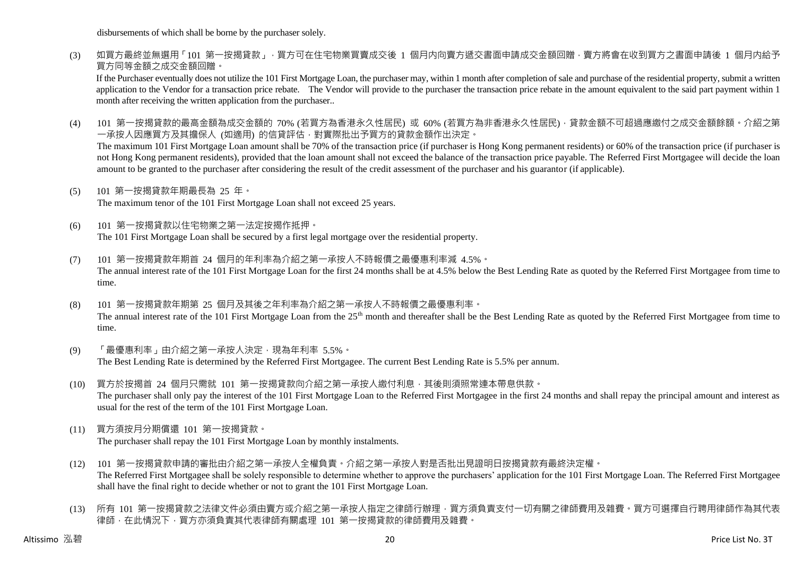disbursements of which shall be borne by the purchaser solely.

(3) 如買方最終並無選用「101 第一按揭貸款」,買方可在住宅物業買賣成交後 1 個月内向賣方遞交書面申請成交金額回贈,賣方將會在收到買方之書面申請後 1 個月内給予 買方同等金額之成交金額回贈。

If the Purchaser eventually does not utilize the 101 First Mortgage Loan, the purchaser may, within 1 month after completion of sale and purchase of the residential property, submit a written application to the Vendor for a transaction price rebate. The Vendor will provide to the purchaser the transaction price rebate in the amount equivalent to the said part payment within 1 month after receiving the written application from the purchaser..

(4) 101 第一按揭貸款的最高金額為成交金額的 70% (若買方為香港永久性居民) 或 60% (若買方為非香港永久性居民) · 貸款金額不可超過應繳付之成交金額餘額。介紹之第 一承按人因應買方及其擔保人 (如適用) 的信貸評估,對實際批出予買方的貸款金額作出決定。

The maximum 101 First Mortgage Loan amount shall be 70% of the transaction price (if purchaser is Hong Kong permanent residents) or 60% of the transaction price (if purchaser is not Hong Kong permanent residents), provided that the loan amount shall not exceed the balance of the transaction price payable. The Referred First Mortgagee will decide the loan amount to be granted to the purchaser after considering the result of the credit assessment of the purchaser and his guarantor (if applicable).

(5) 101 第一按揭貸款年期最長為 25 年。

The maximum tenor of the 101 First Mortgage Loan shall not exceed 25 years.

- (6) 101 第一按揭貸款以住宅物業之第一法定按揭作抵押。 The 101 First Mortgage Loan shall be secured by a first legal mortgage over the residential property.
- (7) 101 第一按揭貸款年期首 24 個月的年利率為介紹之第一承按人不時報價之最優惠利率減 4.5%。 The annual interest rate of the 101 First Mortgage Loan for the first 24 months shall be at 4.5% below the Best Lending Rate as quoted by the Referred First Mortgagee from time to time.
- (8) 101 第一按揭貸款年期第 25 個月及其後之年利率為介紹之第一承按人不時報價之最優惠利率。 The annual interest rate of the 101 First Mortgage Loan from the 25<sup>th</sup> month and thereafter shall be the Best Lending Rate as quoted by the Referred First Mortgagee from time to time.
- (9) 「最優惠利率」由介紹之第一承按人決定,現為年利率 5.5%。 The Best Lending Rate is determined by the Referred First Mortgagee. The current Best Lending Rate is 5.5% per annum.
- (10) 買方於按揭首 24 個月只需就 101 第一按揭貸款向介紹之第一承按人繳付利息,其後則須照常連本帶息供款。 The purchaser shall only pay the interest of the 101 First Mortgage Loan to the Referred First Mortgagee in the first 24 months and shall repay the principal amount and interest as usual for the rest of the term of the 101 First Mortgage Loan.
- (11) 買方須按月分期償還 101 第一按揭貸款。 The purchaser shall repay the 101 First Mortgage Loan by monthly instalments.
- (12) 101 第一按揭貸款申請的審批由介紹之第一承按人全權負責。介紹之第一承按人對是否批出見證明日按揭貸款有最終決定權。 The Referred First Mortgagee shall be solely responsible to determine whether to approve the purchasers' application for the 101 First Mortgage Loan. The Referred First Mortgagee shall have the final right to decide whether or not to grant the 101 First Mortgage Loan.
- (13) 所有 101 第一按揭貸款之法律文件必須由賣方或介紹之第一承按人指定之律師行辦理,買方須負責支付一切有關之律師費用及雜費。買方可選擇自行聘用律師作為其代表 律師,在此情況下,買方亦須負責其代表律師有關處理 101 第一按揭貸款的律師費用及雜費。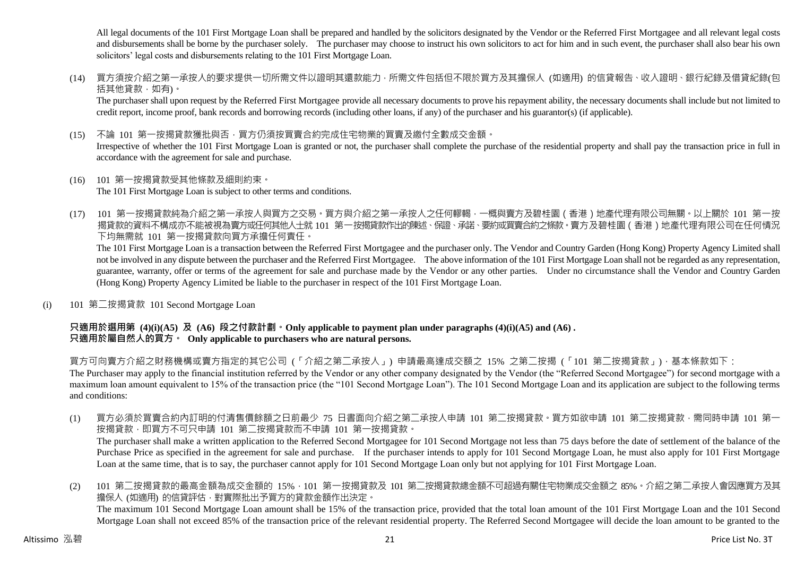All legal documents of the 101 First Mortgage Loan shall be prepared and handled by the solicitors designated by the Vendor or the Referred First Mortgagee and all relevant legal costs and disbursements shall be borne by the purchaser solely. The purchaser may choose to instruct his own solicitors to act for him and in such event, the purchaser shall also bear his own solicitors' legal costs and disbursements relating to the 101 First Mortgage Loan.

(14) 買方須按介紹之第一承按人的要求提供一切所需文件以證明其還款能力,所需文件包括但不限於買方及其擔保人 (如適用) 的信貸報告、收入證明、銀行紀錄及借貸紀錄(包 括其他貸款,如有)。

The purchaser shall upon request by the Referred First Mortgagee provide all necessary documents to prove his repayment ability, the necessary documents shall include but not limited to credit report, income proof, bank records and borrowing records (including other loans, if any) of the purchaser and his guarantor(s) (if applicable).

(15) 不論 101 第一按揭貸款獲批與否,買方仍須按買賣合約完成住宅物業的買賣及繳付全數成交金額。

Irrespective of whether the 101 First Mortgage Loan is granted or not, the purchaser shall complete the purchase of the residential property and shall pay the transaction price in full in accordance with the agreement for sale and purchase.

(16) 101 第一按揭貸款受其他條款及細則約束。

The 101 First Mortgage Loan is subject to other terms and conditions.

(17) 101 第一按揭貸款純為介紹之第一承按人與買方之交易。買方與介紹之第一承按人之任何轇輵,一概與賣方及碧桂園(香港)地產代理有限公司無關。以上關於 101 第一按 揭貸款的資料不構成亦不能被視為賣方或任何其他人士就 101 第一按揭貸款作出的陳述、保證、承諾、要約或買賣合約之條款。賣方及碧桂園(香港)地產代理有限公司在任何情況 下均無需就 101 第一按揭貸款向買方承擔任何責任。

The 101 First Mortgage Loan is a transaction between the Referred First Mortgagee and the purchaser only. The Vendor and Country Garden (Hong Kong) Property Agency Limited shall not be involved in any dispute between the purchaser and the Referred First Mortgagee. The above information of the 101 First Mortgage Loan shall not be regarded as any representation, guarantee, warranty, offer or terms of the agreement for sale and purchase made by the Vendor or any other parties. Under no circumstance shall the Vendor and Country Garden (Hong Kong) Property Agency Limited be liable to the purchaser in respect of the 101 First Mortgage Loan.

(i) 101 第二按揭貸款 101 Second Mortgage Loan

# **只適用於選用第 (4)(i)(A5) 及 (A6) 段之付款計劃。Only applicable to payment plan under paragraphs (4)(i)(A5) and (A6) . 只適用於屬自然人的買方。 Only applicable to purchasers who are natural persons.**

買方可向賣方介紹之財務機構或賣方指定的其它公司 (「介紹之第二承按人」) 申請最高達成交額之 15% 之第二按揭 (「101 第二按揭貸款」),基本條款如下: The Purchaser may apply to the financial institution referred by the Vendor or any other company designated by the Vendor (the "Referred Second Mortgagee") for second mortgage with a maximum loan amount equivalent to 15% of the transaction price (the "101 Second Mortgage Loan"). The 101 Second Mortgage Loan and its application are subject to the following terms and conditions:

- (1) 買方必須於買賣合約內訂明的付清售價餘額之日前最少 75 日書面向介紹之第二承按人申請 101 第二按揭貸款。買方如欲申請 101 第二按揭貸款,需同時申請 101 第一 按揭貸款, 即買方不可只申請 101 第二按揭貸款而不申請 101 第一按揭貸款。 The purchaser shall make a written application to the Referred Second Mortgagee for 101 Second Mortgage not less than 75 days before the date of settlement of the balance of the Purchase Price as specified in the agreement for sale and purchase. If the purchaser intends to apply for 101 Second Mortgage Loan, he must also apply for 101 First Mortgage Loan at the same time, that is to say, the purchaser cannot apply for 101 Second Mortgage Loan only but not applying for 101 First Mortgage Loan.
- (2) 101 第二按揭貸款的最高金額為成交金額的 15%,101 第一按揭貸款及 101 第二按揭貸款總金額不可超過有關住宅物業成交金額之 85%。介紹之第二承按人會因應買方及其 擔保人 (如適用) 的信貸評估, 對實際批出予買方的貸款金額作出決定。 The maximum 101 Second Mortgage Loan amount shall be 15% of the transaction price, provided that the total loan amount of the 101 First Mortgage Loan and the 101 Second Mortgage Loan shall not exceed 85% of the transaction price of the relevant residential property. The Referred Second Mortgagee will decide the loan amount to be granted to the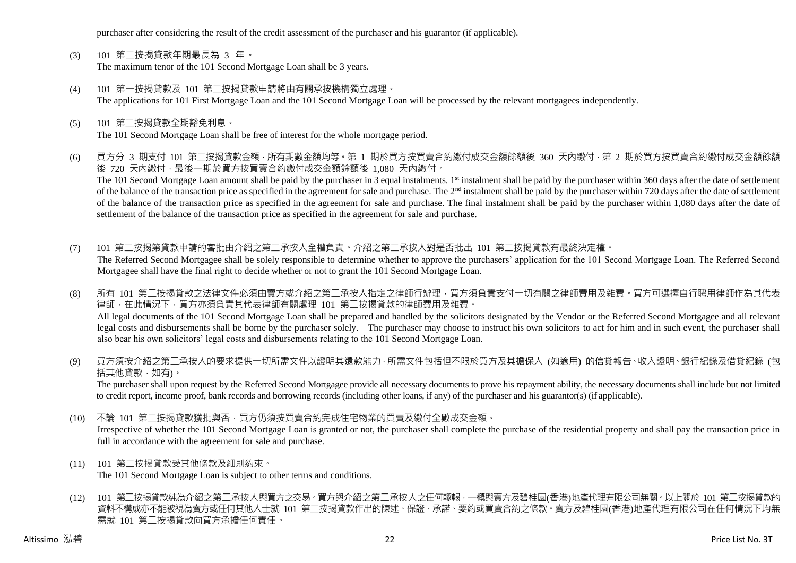purchaser after considering the result of the credit assessment of the purchaser and his guarantor (if applicable).

- (3) 101 第二按揭貸款年期最長為 3 年。 The maximum tenor of the 101 Second Mortgage Loan shall be 3 years.
- (4) 101 第一按揭貸款及 101 第二按揭貸款申請將由有關承按機構獨立處理。 The applications for 101 First Mortgage Loan and the 101 Second Mortgage Loan will be processed by the relevant mortgagees independently.
- (5) 101 第二按揭貸款全期豁免利息。 The 101 Second Mortgage Loan shall be free of interest for the whole mortgage period.
- (6) 買方分 3 期支付 101 第二按揭貸款金額,所有期數金額均等。第 1 期於買方按買賣合約繳付成交金額餘額後 360 天內繳付,第 2 期於買方按買賣合約繳付成交金額餘額 後 720 天內繳付,最後一期於買方按買賣合約繳付成交金額餘額後 1,080 天內繳付。 The 101 Second Mortgage Loan amount shall be paid by the purchaser in 3 equal instalments. 1<sup>st</sup> instalment shall be paid by the purchaser within 360 days after the date of settlement of the balance of the transaction price as specified in the agreement for sale and purchase. The  $2<sup>nd</sup>$  instalment shall be paid by the purchaser within 720 days after the date of settlement of the balance of the transaction price as specified in the agreement for sale and purchase. The final instalment shall be paid by the purchaser within 1,080 days after the date of settlement of the balance of the transaction price as specified in the agreement for sale and purchase.
- (7) 101 第二按揭第貸款申請的審批由介紹之第二承按人全權負責。介紹之第二承按人對是否批出 101 第二按揭貸款有最終決定權。 The Referred Second Mortgagee shall be solely responsible to determine whether to approve the purchasers' application for the 101 Second Mortgage Loan. The Referred Second Mortgagee shall have the final right to decide whether or not to grant the 101 Second Mortgage Loan.
- (8) 所有 101 第二按揭貸款之法律文件必須由賣方或介紹之第二承按人指定之律師行辦理,買方須負責支付一切有關之律師費用及雜費。買方可選擇自行聘用律師作為其代表 律師,在此情況下,買方亦須負責其代表律師有關處理 101 第二按揭貸款的律師費用及雜費。 All legal documents of the 101 Second Mortgage Loan shall be prepared and handled by the solicitors designated by the Vendor or the Referred Second Mortgagee and all relevant legal costs and disbursements shall be borne by the purchaser solely. The purchaser may choose to instruct his own solicitors to act for him and in such event, the purchaser shall also bear his own solicitors' legal costs and disbursements relating to the 101 Second Mortgage Loan.
- (9) 買方須按介紹之第二承按人的要求提供一切所需文件以證明其還款能力,所需文件包括但不限於買方及其擔保人 (如適用) 的信貸報告、收入證明、銀行紀錄及借貸紀錄 (包 括其他貸款,如有)。

The purchaser shall upon request by the Referred Second Mortgagee provide all necessary documents to prove his repayment ability, the necessary documents shall include but not limited to credit report, income proof, bank records and borrowing records (including other loans, if any) of the purchaser and his guarantor(s) (if applicable).

- (10) 不論 101 第二按揭貸款獲批與否,買方仍須按買賣合約完成住宅物業的買賣及繳付全數成交金額。 Irrespective of whether the 101 Second Mortgage Loan is granted or not, the purchaser shall complete the purchase of the residential property and shall pay the transaction price in full in accordance with the agreement for sale and purchase.
- (11) 101 第二按揭貸款受其他條款及細則約束。

The 101 Second Mortgage Loan is subject to other terms and conditions.

(12) 101 第二按揭貸款純為介紹之第二承按人與買方之交易。買方與介紹之第二承按人之任何轇輵,一概與賣方及碧桂園(香港)地產代理有限公司無關。以上關於 101 第二按揭貸款的 資料不構成亦不能被視為賣方或任何其他人士就 101 第二按揭貸款作出的陳述、保證、承諾、要約或買賣合約之條款。賣方及碧桂園(香港)地產代理有限公司在任何情況下均無 需就 101 第二按揭貸款向買方承擔任何責任。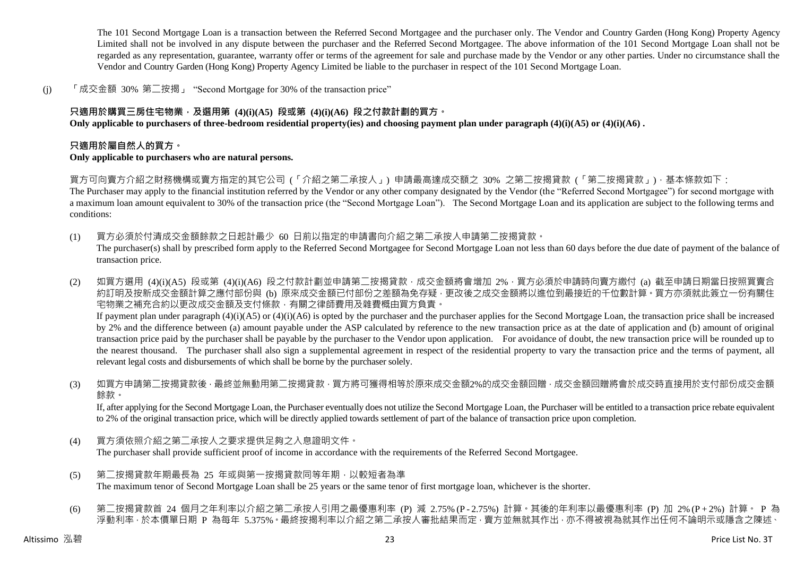The 101 Second Mortgage Loan is a transaction between the Referred Second Mortgagee and the purchaser only. The Vendor and Country Garden (Hong Kong) Property Agency Limited shall not be involved in any dispute between the purchaser and the Referred Second Mortgagee. The above information of the 101 Second Mortgage Loan shall not be regarded as any representation, guarantee, warranty offer or terms of the agreement for sale and purchase made by the Vendor or any other parties. Under no circumstance shall the Vendor and Country Garden (Hong Kong) Property Agency Limited be liable to the purchaser in respect of the 101 Second Mortgage Loan.

(j) 「成交金額 30% 第二按揭」 "Second Mortgage for 30% of the transaction price"

# **只適用於購買三房住宅物業,及選用第 (4)(i)(A5) 段或第 (4)(i)(A6) 段之付款計劃的買方。**

**Only applicable to purchasers of three-bedroom residential property(ies) and choosing payment plan under paragraph (4)(i)(A5) or (4)(i)(A6) .**

## **只適用於屬自然人的買方。**

#### **Only applicable to purchasers who are natural persons.**

買方可向賣方介紹之財務機構或賣方指定的其它公司 (「介紹之第二承按人」) 申請最高達成交額之 30% 之第二按揭貸款 (「第二按揭貸款」),基本條款如下:

The Purchaser may apply to the financial institution referred by the Vendor or any other company designated by the Vendor (the "Referred Second Mortgagee") for second mortgage with a maximum loan amount equivalent to 30% of the transaction price (the "Second Mortgage Loan"). The Second Mortgage Loan and its application are subject to the following terms and conditions:

- (1) 買方必須於付清成交金額餘款之日起計最少 60 日前以指定的申請書向介紹之第二承按人申請第二按揭貸款。 The purchaser(s) shall by prescribed form apply to the Referred Second Mortgagee for Second Mortgage Loan not less than 60 days before the due date of payment of the balance of transaction price.
- (2) 如買方選用 (4)(i)(A5) 段或第 (4)(i)(A6) 段之付款計劃並申請第二按揭貸款,成交金額將會增加 2%,買方必須於申請時向賣方繳付 (a) 截至申請日期當日按照買賣合 約訂明及按新成交金額計算之應付部份與 (b) 原來成交金額已付部份之差額為免存疑,更改後之成交金額將以進位到最接近的千位數計算。買方亦須就此簽立一份有關住 宅物業之補充合約以更改成交金額及支付條款,有關之律師費用及雜費概由買方負責。 If payment plan under paragraph (4)(i)(A5) or (4)(i)(A6) is opted by the purchaser and the purchaser applies for the Second Mortgage Loan, the transaction price shall be increased by 2% and the difference between (a) amount payable under the ASP calculated by reference to the new transaction price as at the date of application and (b) amount of original transaction price paid by the purchaser shall be payable by the purchaser to the Vendor upon application. For avoidance of doubt, the new transaction price will be rounded up to the nearest thousand. The purchaser shall also sign a supplemental agreement in respect of the residential property to vary the transaction price and the terms of payment, all relevant legal costs and disbursements of which shall be borne by the purchaser solely.
- (3) 如買方申請第二按揭貸款後,最終並無動用第二按揭貸款,買方將可獲得相等於原來成交金額2%的成交金額回贈,成交金額回贈將會於成交時直接用於支付部份成交金額 餘款。

If, after applying for the Second Mortgage Loan, the Purchaser eventually does not utilize the Second Mortgage Loan, the Purchaser will be entitled to a transaction price rebate equivalent to 2% of the original transaction price, which will be directly applied towards settlement of part of the balance of transaction price upon completion.

- (4) 買方須依照介紹之第二承按人之要求提供足夠之入息證明文件。 The purchaser shall provide sufficient proof of income in accordance with the requirements of the Referred Second Mortgagee.
- (5) 第二按揭貸款年期最長為 25 年或與第一按揭貸款同等年期,以較短者為準 The maximum tenor of Second Mortgage Loan shall be 25 years or the same tenor of first mortgage loan, whichever is the shorter.
- (6) 第二按揭貸款首 24 個月之年利率以介紹之第二承按人引用之最優惠利率 (P) 減 2.75% (P 2.75%) 計算。其後的年利率以最優惠利率 (P) 加 2% (P + 2%) 計算。 P 為 浮動利率,於本價單日期 P 為每年 5.375%。最終按揭利率以介紹之第二承按人審批結果而定,賣方並無就其作出,亦不得被視為就其作出任何不論明示或隱含之陳述、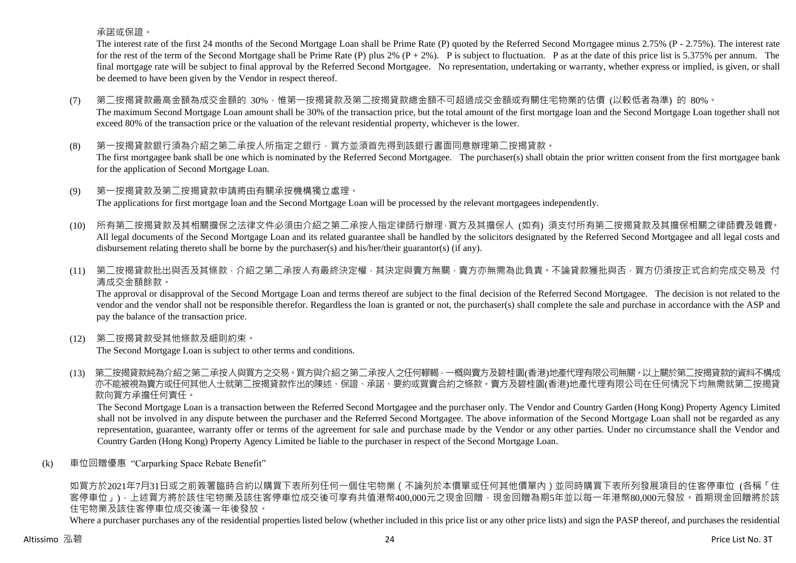承諾或保證。

The interest rate of the first 24 months of the Second Mortgage Loan shall be Prime Rate (P) quoted by the Referred Second Mortgagee minus 2.75% (P - 2.75%). The interest rate for the rest of the term of the Second Mortgage shall be Prime Rate (P) plus 2%  $(P + 2\%)$ . P is subject to fluctuation. P as at the date of this price list is 5.375% per annum. The final mortgage rate will be subject to final approval by the Referred Second Mortgagee. No representation, undertaking or warranty, whether express or implied, is given, or shall be deemed to have been given by the Vendor in respect thereof.

- (7) 第二按揭貸款最高金額為成交金額的 30%,惟第一按揭貸款及第二按揭貸款總金額不可超過成交金額或有關住宅物業的估價 (以較低者為準) 的 80%。 The maximum Second Mortgage Loan amount shall be 30% of the transaction price, but the total amount of the first mortgage loan and the Second Mortgage Loan together shall not exceed 80% of the transaction price or the valuation of the relevant residential property, whichever is the lower.
- (8) 第一按揭貸款銀行須為介紹之第二承按人所指定之銀行,買方並須首先得到該銀行書面同意辦理第二按揭貸款。 The first mortgagee bank shall be one which is nominated by the Referred Second Mortgagee. The purchaser(s) shall obtain the prior written consent from the first mortgagee bank for the application of Second Mortgage Loan.
- (9) 第一按揭貸款及第二按揭貸款申請將由有關承按機構獨立處理。 The applications for first mortgage loan and the Second Mortgage Loan will be processed by the relevant mortgagees independently.
- (10) 所有第二按揭貸款及其相關擔保之法律文件必須由介紹之第二承按人指定律師行辦理,買方及其擔保人 (如有) 須支付所有第二按揭貸款及其擔保相關之律師費及雜費。 All legal documents of the Second Mortgage Loan and its related guarantee shall be handled by the solicitors designated by the Referred Second Mortgagee and all legal costs and disbursement relating thereto shall be borne by the purchaser(s) and his/her/their guarantor(s) (if any).
- (11) 第二按揭貸款批出與否及其條款,介紹之第二承按人有最終決定權,其決定與賣方無關,賣方亦無需為此負責。不論貸款獲批與否,買方仍須按正式合約完成交易及 付 清成交金額餘款。

The approval or disapproval of the Second Mortgage Loan and terms thereof are subject to the final decision of the Referred Second Mortgagee. The decision is not related to the vendor and the vendor shall not be responsible therefor. Regardless the loan is granted or not, the purchaser(s) shall complete the sale and purchase in accordance with the ASP and pay the balance of the transaction price.

(12) 第二按揭貸款受其他條款及細則約束。

The Second Mortgage Loan is subject to other terms and conditions.

(13) 第二按揭貸款純為介紹之第二承按人與買方之交易。買方與介紹之第二承按人之任何轇輵,一概與賣方及碧桂園(香港)地產代理有限公司無關。以上關於第二按揭貸款的資料不構成 亦不能被視為賣方或任何其他人士就第二按揭貸款作出的陳述、保證、承諾、要約或買賣合約之條款。賣方及碧桂園(香港)地產代理有限公司在任何情況下均無需就第二按揭貸 款向買方承擔任何責任。

The Second Mortgage Loan is a transaction between the Referred Second Mortgagee and the purchaser only. The Vendor and Country Garden (Hong Kong) Property Agency Limited shall not be involved in any dispute between the purchaser and the Referred Second Mortgagee. The above information of the Second Mortgage Loan shall not be regarded as any representation, guarantee, warranty offer or terms of the agreement for sale and purchase made by the Vendor or any other parties. Under no circumstance shall the Vendor and Country Garden (Hong Kong) Property Agency Limited be liable to the purchaser in respect of the Second Mortgage Loan.

(k) 車位回贈優惠 "Carparking Space Rebate Benefit"

如買方於2021年7月31日或之前簽署臨時合約以購買下表所列任何一個住宅物業(不論列於本價單或任何其他價單內)並同時購買下表所列發展項目的住客停車位 (各稱「住 客停車位」),上述買方將於該住宅物業及該住客停車位成交後可享有共值港幣400,000元之現金回贈,現金回贈為期5年並以每一年港幣80,000元發放。首期現金回贈將於該 住宅物業及該住客停車位成交後滿一年後發放。

Where a purchaser purchases any of the residential properties listed below (whether included in this price list or any other price lists) and sign the PASP thereof, and purchases the residential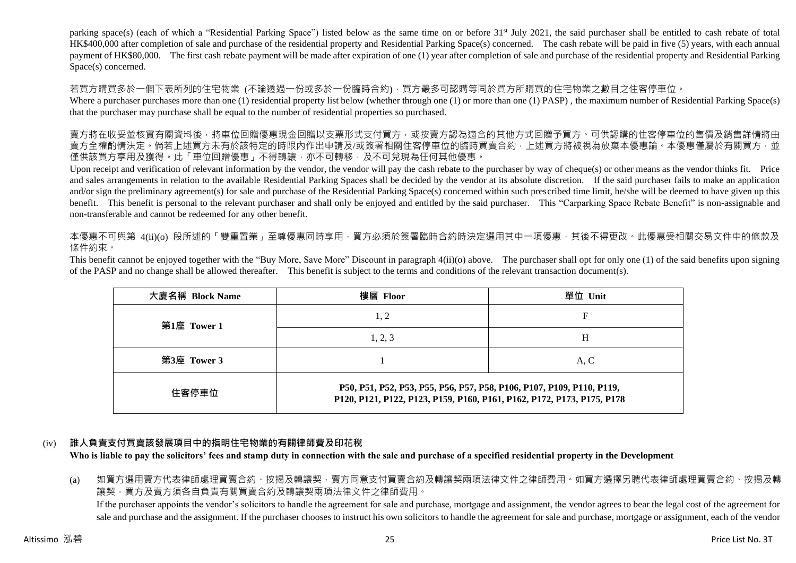parking space(s) (each of which a "Residential Parking Space") listed below as the same time on or before 31<sup>st</sup> July 2021, the said purchaser shall be entitled to cash rebate of total HK\$400,000 after completion of sale and purchase of the residential property and Residential Parking Space(s) concerned. The cash rebate will be paid in five (5) years, with each annual payment of HK\$80,000. The first cash rebate payment will be made after expiration of one (1) year after completion of sale and purchase of the residential property and Residential Parking Space(s) concerned.

若買方購買多於一個下表所列的住宅物業 (不論透過一份或多於一份臨時合約),買方最多可認購等同於買方所購買的住宅物業之數目之住客停車位。

Where a purchaser purchases more than one (1) residential property list below (whether through one (1) or more than one (1) PASP), the maximum number of Residential Parking Space(s) that the purchaser may purchase shall be equal to the number of residential properties so purchased.

賣方將在收妥並核實有關資料後,將車位回贈優惠現金回贈以支票形式支付買方,或按賣方認為適合的其他方式回贈予買方。可供認購的住客停車位的售價及銷售詳情將由 賣方全權酌情決定。倘若上述買方未有於該特定的時限內作出申請及/或簽署相關住客停車位的臨時買賣合約,上述買方將被視為放棄本優惠論。本優惠僅屬於有關買方,並 僅供該買方享用及獲得。此「車位回贈優惠」不得轉讓,亦不可轉移,及不可兌現為任何其他優惠。

Upon receipt and verification of relevant information by the vendor, the vendor will pay the cash rebate to the purchaser by way of cheque(s) or other means as the vendor thinks fit. Price and sales arrangements in relation to the available Residential Parking Spaces shall be decided by the vendor at its absolute discretion. If the said purchaser fails to make an application and/or sign the preliminary agreement(s) for sale and purchase of the Residential Parking Space(s) concerned within such prescribed time limit, he/she will be deemed to have given up this benefit. This benefit is personal to the relevant purchaser and shall only be enjoyed and entitled by the said purchaser. This "Carparking Space Rebate Benefit" is non-assignable and non-transferable and cannot be redeemed for any other benefit.

本優惠不可與第 4(ii)(o) 段所述的「雙重置業」至尊優惠同時享用,買方必須於簽署臨時合約時決定選用其中一項優惠,其後不得更改。此優惠受相關交易文件中的條款及 條件約束。

This benefit cannot be enjoyed together with the "Buy More, Save More" Discount in paragraph 4(ii)(o) above. The purchaser shall opt for only one (1) of the said benefits upon signing of the PASP and no change shall be allowed thereafter. This benefit is subject to the terms and conditions of the relevant transaction document(s).

| 大廈名稱 Block Name | 樓層 Floor                                                                                                                                        | 單位 Unit |  |  |  |  |  |
|-----------------|-------------------------------------------------------------------------------------------------------------------------------------------------|---------|--|--|--|--|--|
| 第1座 Tower 1     | 1, 2                                                                                                                                            | F       |  |  |  |  |  |
|                 | 1, 2, 3                                                                                                                                         | H       |  |  |  |  |  |
| 第3座 Tower 3     |                                                                                                                                                 | A, C    |  |  |  |  |  |
| 住客停車位           | P50, P51, P52, P53, P55, P56, P57, P58, P106, P107, P109, P110, P119,<br>P120, P121, P122, P123, P159, P160, P161, P162, P172, P173, P175, P178 |         |  |  |  |  |  |

# (iv) **誰人負責支付買賣該發展項目中的指明住宅物業的有關律師費及印花稅**

**Who is liable to pay the solicitors' fees and stamp duty in connection with the sale and purchase of a specified residential property in the Development**

(a) 如買方選用賣方代表律師處理買賣合約、按揭及轉讓契,賣方同意支付買賣合約及轉讓契兩項法律文件之律師費用。如買方選擇另聘代表律師處理買賣合約、按揭及轉 讓契,買方及賣方須各自負責有關買賣合約及轉讓契兩項法律文件之律師費用。 If the purchaser appoints the vendor's solicitors to handle the agreement for sale and purchase, mortgage and assignment, the vendor agrees to bear the legal cost of the agreement for sale and purchase and the assignment. If the purchaser chooses to instruct his own solicitors to handle the agreement for sale and purchase, mortgage or assignment, each of the vendor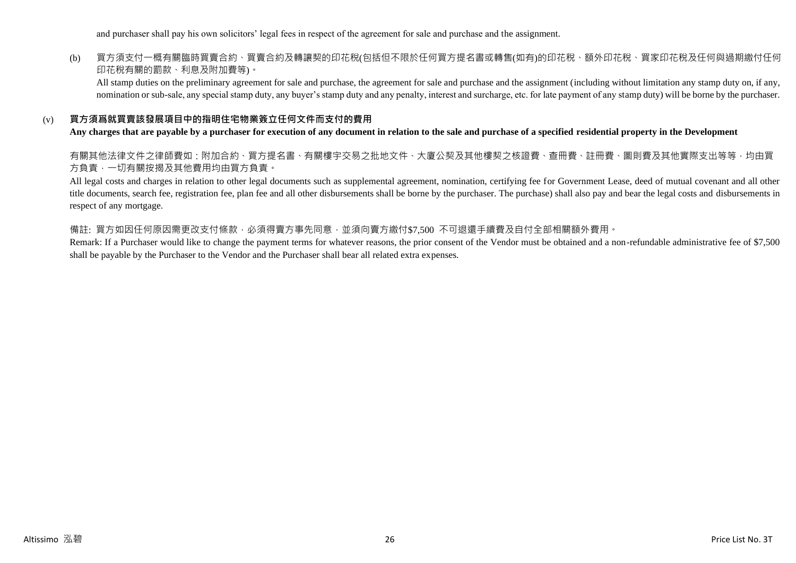and purchaser shall pay his own solicitors' legal fees in respect of the agreement for sale and purchase and the assignment.

# (b) 買方須支付一概有關臨時買賣合約、買賣合約及轉讓契的印花稅(包括但不限於任何買方提名書或轉售(如有)的印花稅、額外印花稅、買家印花稅及任何與過期繳付任何 印花稅有關的罰款、利息及附加費等)。

All stamp duties on the preliminary agreement for sale and purchase, the agreement for sale and purchase and the assignment (including without limitation any stamp duty on, if any, nomination or sub-sale, any special stamp duty, any buyer's stamp duty and any penalty, interest and surcharge, etc. for late payment of any stamp duty) will be borne by the purchaser.

#### (v) **買方須爲就買賣該發展項目中的指明住宅物業簽立任何文件而支付的費用**

#### **Any charges that are payable by a purchaser for execution of any document in relation to the sale and purchase of a specified residential property in the Development**

有關其他法律文件之律師費如:附加合約、買方提名書、有關樓宇交易之批地文件、大廈公契及其他樓契之核證費、查冊費、註冊費、圖則費及其他實際支出等等,均由買 方負責,一切有關按揭及其他費用均由買方負責。

All legal costs and charges in relation to other legal documents such as supplemental agreement, nomination, certifying fee for Government Lease, deed of mutual covenant and all other title documents, search fee, registration fee, plan fee and all other disbursements shall be borne by the purchaser. The purchase) shall also pay and bear the legal costs and disbursements in respect of any mortgage.

#### 備註: 買方如因任何原因需更改支付條款,必須得賣方事先同意,並須向賣方繳付\$7,500 不可退還手續費及自付全部相關額外費用。

Remark: If a Purchaser would like to change the payment terms for whatever reasons, the prior consent of the Vendor must be obtained and a non-refundable administrative fee of \$7,500 shall be payable by the Purchaser to the Vendor and the Purchaser shall bear all related extra expenses.